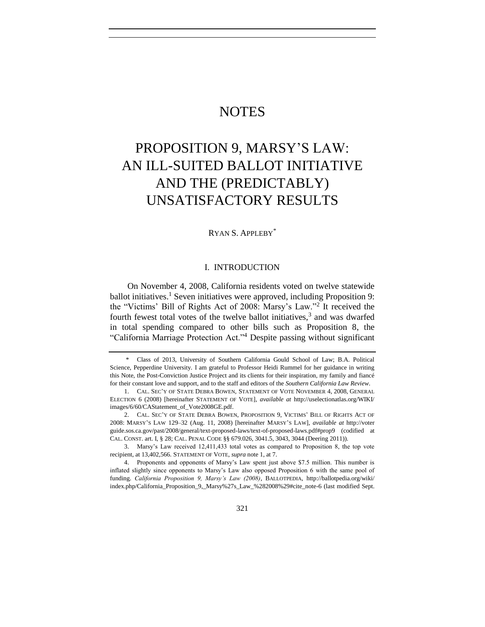# **NOTES**

# PROPOSITION 9, MARSY'S LAW: AN ILL-SUITED BALLOT INITIATIVE AND THE (PREDICTABLY) UNSATISFACTORY RESULTS

# RYAN S. APPLEBY\*

#### <span id="page-0-3"></span><span id="page-0-2"></span><span id="page-0-1"></span><span id="page-0-0"></span>I. INTRODUCTION

On November 4, 2008, California residents voted on twelve statewide ballot initiatives.<sup>1</sup> Seven initiatives were approved, including Proposition 9: the "Victims' Bill of Rights Act of 2008: Marsy's Law."<sup>2</sup> It received the fourth fewest total votes of the twelve ballot initiatives,<sup>3</sup> and was dwarfed in total spending compared to other bills such as Proposition 8, the "California Marriage Protection Act."<sup>4</sup> Despite passing without significant

<sup>\*</sup> Class of 2013, University of Southern California Gould School of Law; B.A. Political Science, Pepperdine University. I am grateful to Professor Heidi Rummel for her guidance in writing this Note, the Post-Conviction Justice Project and its clients for their inspiration, my family and fiancé for their constant love and support, and to the staff and editors of the *Southern California Law Review*.

<sup>1.</sup> CAL. SEC'Y OF STATE DEBRA BOWEN, STATEMENT OF VOTE NOVEMBER 4, 2008, GENERAL ELECTION 6 (2008) [hereinafter STATEMENT OF VOTE], *available at* http://uselectionatlas.org/WIKI/ images/6/60/CAStatement\_of\_Vote2008GE.pdf.

<sup>2.</sup> CAL. SEC'Y OF STATE DEBRA BOWEN, PROPOSITION 9, VICTIMS' BILL OF RIGHTS ACT OF 2008: MARSY'S LAW 129–32 (Aug. 11, 2008) [hereinafter MARSY'S LAW], *available at* http://voter guide.sos.ca.gov/past/2008/general/text-proposed-laws/text-of-proposed-laws.pdf#prop9 (codified at CAL. CONST. art. I, § 28; CAL. PENAL CODE §§ 679.026, 3041.5, 3043, 3044 (Deering 2011)).

<sup>3.</sup> Marsy's Law received 12,411,433 total votes as compared to Proposition 8, the top vote recipient, at 13,402,566. STATEMENT OF VOTE, *supra* not[e 1,](#page-0-0) at 7.

<sup>4.</sup> Proponents and opponents of Marsy's Law spent just above \$7.5 million. This number is inflated slightly since opponents to Marsy's Law also opposed Proposition 6 with the same pool of funding. *California Proposition 9, Marsy's Law (2008)*, BALLOTPEDIA, http://ballotpedia.org/wiki/ index.php/California\_Proposition\_9,\_Marsy%27s\_Law\_%282008%29#cite\_note-6 (last modified Sept.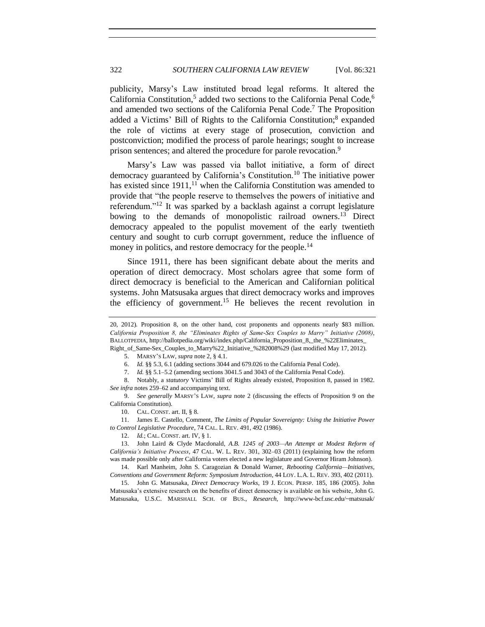publicity, Marsy's Law instituted broad legal reforms. It altered the California Constitution,<sup>5</sup> added two sections to the California Penal Code,<sup>6</sup> and amended two sections of the California Penal Code.<sup>7</sup> The Proposition added a Victims' Bill of Rights to the California Constitution;<sup>8</sup> expanded the role of victims at every stage of prosecution, conviction and postconviction; modified the process of parole hearings; sought to increase prison sentences; and altered the procedure for parole revocation.<sup>9</sup>

<span id="page-1-3"></span>Marsy's Law was passed via ballot initiative, a form of direct democracy guaranteed by California's Constitution.<sup>10</sup> The initiative power has existed since  $1911$ ,<sup>11</sup> when the California Constitution was amended to provide that "the people reserve to themselves the powers of initiative and referendum."<sup>12</sup> It was sparked by a backlash against a corrupt legislature bowing to the demands of monopolistic railroad owners.<sup>13</sup> Direct democracy appealed to the populist movement of the early twentieth century and sought to curb corrupt government, reduce the influence of money in politics, and restore democracy for the people.<sup>14</sup>

<span id="page-1-2"></span><span id="page-1-1"></span>Since 1911, there has been significant debate about the merits and operation of direct democracy. Most scholars agree that some form of direct democracy is beneficial to the American and Californian political systems. John Matsusaka argues that direct democracy works and improves the efficiency of government.<sup>15</sup> He believes the recent revolution in

7. *Id.* §§ 5.1–5.2 (amending sections 3041.5 and 3043 of the California Penal Code).

8. Notably, a *statutory* Victims' Bill of Rights already existed, Proposition 8, passed in 1982. *See infra* notes [259](#page-34-0)[–62](#page-34-1) and accompanying text.

9. *See generally* MARSY'S LAW, *supra* note [2](#page-0-1) (discussing the effects of Proposition 9 on the California Constitution).

10. CAL. CONST. art. II, § 8.

11. James E. Castello, Comment, *The Limits of Popular Sovereignty: Using the Initiative Power to Control Legislative Procedure*, 74 CAL. L. REV. 491, 492 (1986).

12. *Id.*; CAL. CONST. art. IV, § 1.

13. John Laird & Clyde Macdonald, *A.B. 1245 of 2003—An Attempt at Modest Reform of California's Initiative Process*, 47 CAL. W. L. REV. 301, 302–03 (2011) (explaining how the reform was made possible only after California voters elected a new legislature and Governor Hiram Johnson).

14. Karl Manheim, John S. Caragozian & Donald Warner, *Rebooting California—Initiatives, Conventions and Government Reform: Symposium Introduction*, 44 LOY. L.A. L. REV. 393, 402 (2011).

15. John G. Matsusaka, *Direct Democracy Works*, 19 J. ECON. PERSP. 185, 186 (2005). John Matsusaka's extensive research on the benefits of direct democracy is available on his website, John G. Matsusaka, U.S.C. MARSHALL SCH. OF BUS., *Research*, http://www-bcf.usc.edu/~matsusak/

<sup>20, 2012).</sup> Proposition 8, on the other hand, cost proponents and opponents nearly \$83 million. *California Proposition 8, the "Eliminates Rights of Same-Sex Couples to Marry" Initiative (2008)*, BALLOTPEDIA, http://ballotpedia.org/wiki/index.php/California\_Proposition\_8,\_the\_%22Eliminates\_ Right\_of\_Same-Sex\_Couples\_to\_Marry%22\_Initiative\_%282008%29 (last modified May 17, 2012).

<span id="page-1-0"></span><sup>5.</sup> MARSY'S LAW, *supra* not[e 2,](#page-0-1) § 4.1.

<sup>6.</sup> *Id.* §§ 5.3, 6.1 (adding sections 3044 and 679.026 to the California Penal Code).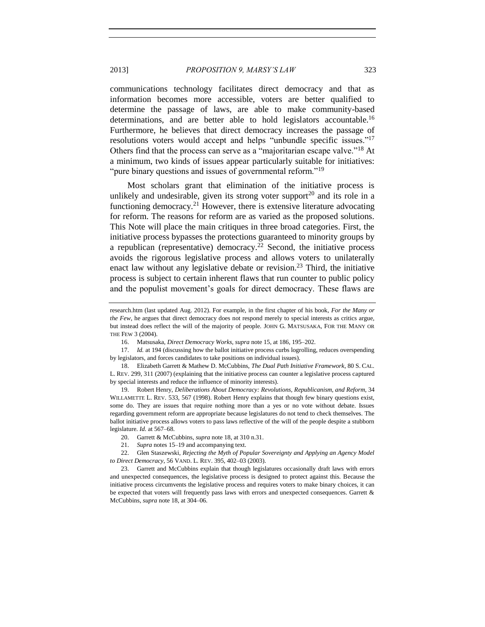communications technology facilitates direct democracy and that as information becomes more accessible, voters are better qualified to determine the passage of laws, are able to make community-based determinations, and are better able to hold legislators accountable.<sup>16</sup> Furthermore, he believes that direct democracy increases the passage of resolutions voters would accept and helps "unbundle specific issues."<sup>17</sup> Others find that the process can serve as a "majoritarian escape valve."<sup>18</sup> At a minimum, two kinds of issues appear particularly suitable for initiatives: "pure binary questions and issues of governmental reform."<sup>19</sup>

<span id="page-2-1"></span><span id="page-2-0"></span>Most scholars grant that elimination of the initiative process is unlikely and undesirable, given its strong voter support<sup>20</sup> and its role in a functioning democracy.<sup>21</sup> However, there is extensive literature advocating for reform. The reasons for reform are as varied as the proposed solutions. This Note will place the main critiques in three broad categories. First, the initiative process bypasses the protections guaranteed to minority groups by a republican (representative) democracy.<sup>22</sup> Second, the initiative process avoids the rigorous legislative process and allows voters to unilaterally enact law without any legislative debate or revision.<sup>23</sup> Third, the initiative process is subject to certain inherent flaws that run counter to public policy and the populist movement's goals for direct democracy. These flaws are

19. Robert Henry, *Deliberations About Democracy: Revolutions, Republicanism, and Reform*, 34 WILLAMETTE L. REV. 533, 567 (1998). Robert Henry explains that though few binary questions exist, some do. They are issues that require nothing more than a yes or no vote without debate. Issues regarding government reform are appropriate because legislatures do not tend to check themselves. The ballot initiative process allows voters to pass laws reflective of the will of the people despite a stubborn legislature. *Id.* at 567–68.

research.htm (last updated Aug. 2012). For example, in the first chapter of his book, *For the Many or the Few*, he argues that direct democracy does not respond merely to special interests as critics argue, but instead does reflect the will of the majority of people. JOHN G. MATSUSAKA, FOR THE MANY OR THE FEW 3 (2004).

<span id="page-2-2"></span><sup>16.</sup> Matsusaka, *Direct Democracy Works*, *supra* note [15,](#page-1-0) at 186, 195–202.

<sup>17.</sup> *Id.* at 194 (discussing how the ballot initiative process curbs logrolling, reduces overspending by legislators, and forces candidates to take positions on individual issues).

<sup>18.</sup> Elizabeth Garrett & Mathew D. McCubbins, *The Dual Path Initiative Framework*, 80 S. CAL. L. REV. 299, 311 (2007) (explaining that the initiative process can counter a legislative process captured by special interests and reduce the influence of minority interests).

<sup>20.</sup> Garrett & McCubbins, *supra* not[e 18,](#page-2-0) at 310 n.31.

<sup>21.</sup> *Supra* notes [15–](#page-1-0)[19](#page-2-1) and accompanying text.

<sup>22.</sup> Glen Staszewski, *Rejecting the Myth of Popular Sovereignty and Applying an Agency Model to Direct Democracy*, 56 VAND. L. REV. 395, 402–03 (2003).

<sup>23.</sup> Garrett and McCubbins explain that though legislatures occasionally draft laws with errors and unexpected consequences, the legislative process is designed to protect against this. Because the initiative process circumvents the legislative process and requires voters to make binary choices, it can be expected that voters will frequently pass laws with errors and unexpected consequences. Garrett & McCubbins, *supra* not[e 18,](#page-2-0) at 304–06.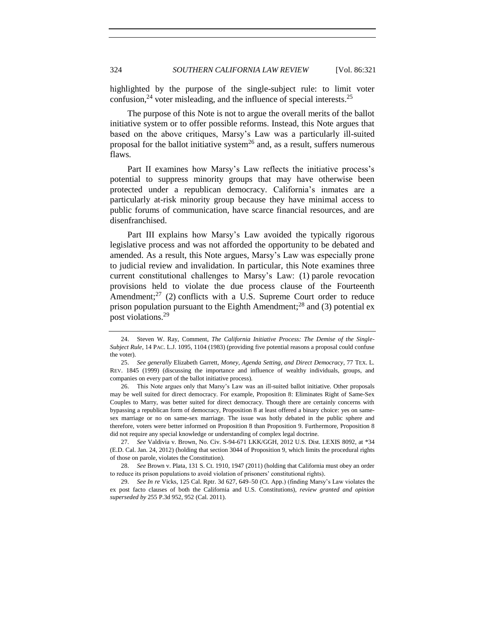<span id="page-3-1"></span>highlighted by the purpose of the single-subject rule: to limit voter confusion, $^{24}$  voter misleading, and the influence of special interests. $^{25}$ 

<span id="page-3-2"></span>The purpose of this Note is not to argue the overall merits of the ballot initiative system or to offer possible reforms. Instead, this Note argues that based on the above critiques, Marsy's Law was a particularly ill-suited proposal for the ballot initiative system<sup>26</sup> and, as a result, suffers numerous flaws.

<span id="page-3-0"></span>Part II examines how Marsy's Law reflects the initiative process's potential to suppress minority groups that may have otherwise been protected under a republican democracy. California's inmates are a particularly at-risk minority group because they have minimal access to public forums of communication, have scarce financial resources, and are disenfranchised.

Part III explains how Marsy's Law avoided the typically rigorous legislative process and was not afforded the opportunity to be debated and amended. As a result, this Note argues, Marsy's Law was especially prone to judicial review and invalidation. In particular, this Note examines three current constitutional challenges to Marsy's Law: (1) parole revocation provisions held to violate the due process clause of the Fourteenth Amendment; $^{27}$  (2) conflicts with a U.S. Supreme Court order to reduce prison population pursuant to the Eighth Amendment;<sup>28</sup> and (3) potential ex post violations.<sup>29</sup>

26. This Note argues only that Marsy's Law was an ill-suited ballot initiative. Other proposals may be well suited for direct democracy. For example, Proposition 8: Eliminates Right of Same-Sex Couples to Marry, was better suited for direct democracy. Though there are certainly concerns with bypassing a republican form of democracy, Proposition 8 at least offered a binary choice: yes on samesex marriage or no on same-sex marriage. The issue was hotly debated in the public sphere and therefore, voters were better informed on Proposition 8 than Proposition 9. Furthermore, Proposition 8 did not require any special knowledge or understanding of complex legal doctrine.

27. *See* Valdivia v. Brown, No. Civ. S-94-671 LKK/GGH, 2012 U.S. Dist. LEXIS 8092, at \*34 (E.D. Cal. Jan. 24, 2012) (holding that section 3044 of Proposition 9, which limits the procedural rights of those on parole, violates the Constitution).

28. *See* Brown v. Plata, 131 S. Ct. 1910, 1947 (2011) (holding that California must obey an order to reduce its prison populations to avoid violation of prisoners' constitutional rights).

29. *See In re* Vicks, 125 Cal. Rptr. 3d 627, 649–50 (Ct. App.) (finding Marsy's Law violates the ex post facto clauses of both the California and U.S. Constitutions), *review granted and opinion superseded by* 255 P.3d 952, 952 (Cal. 2011).

<sup>24.</sup> Steven W. Ray, Comment, *The California Initiative Process: The Demise of the Single-Subject Rule*, 14 PAC. L.J. 1095, 1104 (1983) (providing five potential reasons a proposal could confuse the voter).

<sup>25.</sup> *See generally* Elizabeth Garrett, *Money, Agenda Setting, and Direct Democracy*, 77 TEX. L. REV. 1845 (1999) (discussing the importance and influence of wealthy individuals, groups, and companies on every part of the ballot initiative process).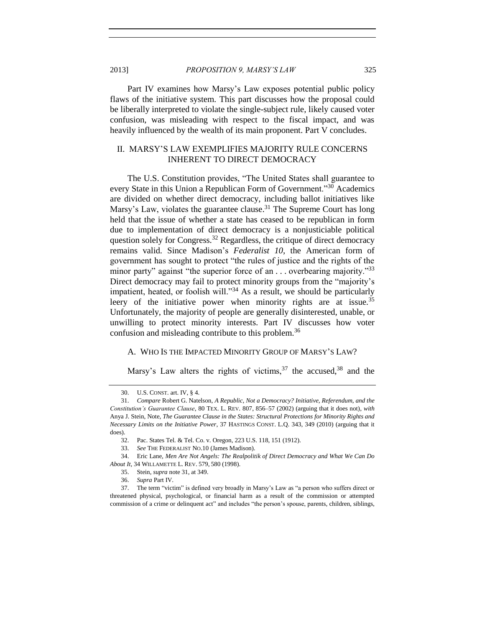Part IV examines how Marsy's Law exposes potential public policy flaws of the initiative system. This part discusses how the proposal could be liberally interpreted to violate the single-subject rule, likely caused voter confusion, was misleading with respect to the fiscal impact, and was heavily influenced by the wealth of its main proponent. Part V concludes.

# II. MARSY'S LAW EXEMPLIFIES MAJORITY RULE CONCERNS INHERENT TO DIRECT DEMOCRACY

<span id="page-4-0"></span>The U.S. Constitution provides, "The United States shall guarantee to every State in this Union a Republican Form of Government."<sup>30</sup> Academics are divided on whether direct democracy, including ballot initiatives like Marsy's Law, violates the guarantee clause.<sup>31</sup> The Supreme Court has long held that the issue of whether a state has ceased to be republican in form due to implementation of direct democracy is a nonjusticiable political question solely for Congress.<sup>32</sup> Regardless, the critique of direct democracy remains valid. Since Madison's *Federalist 10*, the American form of government has sought to protect "the rules of justice and the rights of the minor party" against "the superior force of an . . . overbearing majority."<sup>33</sup> Direct democracy may fail to protect minority groups from the "majority's impatient, heated, or foolish will."<sup>34</sup> As a result, we should be particularly leery of the initiative power when minority rights are at issue.<sup>35</sup> Unfortunately, the majority of people are generally disinterested, unable, or unwilling to protect minority interests. Part IV discusses how voter confusion and misleading contribute to this problem.<sup>36</sup>

# <span id="page-4-1"></span>A. WHO IS THE IMPACTED MINORITY GROUP OF MARSY'S LAW?

Marsy's Law alters the rights of victims,  $37$  the accused,  $38$  and the

<sup>30.</sup> U.S. CONST. art. IV, § 4.

<sup>31.</sup> *Compare* Robert G. Natelson, *A Republic, Not a Democracy? Initiative, Referendum, and the Constitution's Guarantee Clause*, 80 TEX. L. REV. 807, 856–57 (2002) (arguing that it does not), *with*  Anya J. Stein, Note, *The Guarantee Clause in the States: Structural Protections for Minority Rights and Necessary Limits on the Initiative Power*, 37 HASTINGS CONST. L.Q. 343, 349 (2010) (arguing that it does).

<sup>32.</sup> Pac. States Tel. & Tel. Co. v. Oregon, 223 U.S. 118, 151 (1912).

<sup>33.</sup> *See* THE FEDERALIST NO.10 (James Madison).

<sup>34.</sup> Eric Lane, *Men Are Not Angels: The Realpolitik of Direct Democracy and What We Can Do About It*, 34 WILLAMETTE L. REV. 579, 580 (1998).

<sup>35.</sup> Stein, *supra* not[e 31,](#page-4-0) at 349.

<sup>36.</sup> *Supra* Part IV.

<sup>37.</sup> The term "victim" is defined very broadly in Marsy's Law as "a person who suffers direct or threatened physical, psychological, or financial harm as a result of the commission or attempted commission of a crime or delinquent act" and includes "the person's spouse, parents, children, siblings,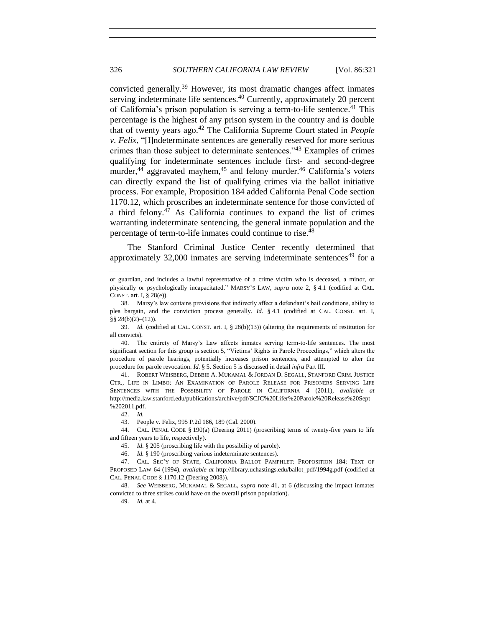<span id="page-5-0"></span>convicted generally.<sup>39</sup> However, its most dramatic changes affect inmates serving indeterminate life sentences.<sup>40</sup> Currently, approximately 20 percent of California's prison population is serving a term-to-life sentence.<sup>41</sup> This percentage is the highest of any prison system in the country and is double that of twenty years ago.<sup>42</sup> The California Supreme Court stated in *People v. Felix*, "[I]ndeterminate sentences are generally reserved for more serious crimes than those subject to determinate sentences."<sup>43</sup> Examples of crimes qualifying for indeterminate sentences include first- and second-degree murder,<sup>44</sup> aggravated mayhem,<sup>45</sup> and felony murder.<sup>46</sup> California's voters can directly expand the list of qualifying crimes via the ballot initiative process. For example, Proposition 184 added California Penal Code section 1170.12, which proscribes an indeterminate sentence for those convicted of a third felony.<sup>47</sup> As California continues to expand the list of crimes warranting indeterminate sentencing, the general inmate population and the percentage of term-to-life inmates could continue to rise.<sup>48</sup>

The Stanford Criminal Justice Center recently determined that approximately  $32,000$  inmates are serving indeterminate sentences<sup>49</sup> for a

43. People v. Felix, 995 P.2d 186, 189 (Cal. 2000).

44. CAL. PENAL CODE § 190(a) (Deering 2011) (proscribing terms of twenty-five years to life and fifteen years to life, respectively).

45. *Id.* § 205 (proscribing life with the possibility of parole).

46. *Id.* § 190 (proscribing various indeterminate sentences).

48. *See* WEISBERG, MUKAMAL & SEGALL, *supra* note [41,](#page-5-0) at 6 (discussing the impact inmates convicted to three strikes could have on the overall prison population).

49. *Id.* at 4.

or guardian, and includes a lawful representative of a crime victim who is deceased, a minor, or physically or psychologically incapacitated." MARSY'S LAW, *supra* note [2,](#page-0-1) § 4.1 (codified at CAL. CONST. art. I, § 28(e)).

<sup>38.</sup> Marsy's law contains provisions that indirectly affect a defendant's bail conditions, ability to plea bargain, and the conviction process generally. *Id.* § 4.1 (codified at CAL. CONST. art. I, §§ 28(b)(2)–(12)).

<sup>39.</sup> *Id.* (codified at CAL. CONST. art. I, § 28(b)(13)) (altering the requirements of restitution for all convicts).

<sup>40.</sup> The entirety of Marsy's Law affects inmates serving term-to-life sentences. The most significant section for this group is section 5, "Victims' Rights in Parole Proceedings," which alters the procedure of parole hearings, potentially increases prison sentences, and attempted to alter the procedure for parole revocation. *Id.* § 5. Section 5 is discussed in detail *infra* Part III.

<sup>41.</sup> ROBERT WEISBERG, DEBBIE A. MUKAMAL & JORDAN D. SEGALL, STANFORD CRIM. JUSTICE CTR., LIFE IN LIMBO: AN EXAMINATION OF PAROLE RELEASE FOR PRISONERS SERVING LIFE SENTENCES WITH THE POSSIBILITY OF PAROLE IN CALIFORNIA 4 (2011), *available at* http://media.law.stanford.edu/publications/archive/pdf/SCJC%20Lifer%20Parole%20Release%20Sept %202011.pdf.

<sup>42.</sup> *Id.*

<sup>47.</sup> CAL. SEC'Y OF STATE, CALIFORNIA BALLOT PAMPHLET: PROPOSITION 184: TEXT OF PROPOSED LAW 64 (1994), *available at* http://library.uchastings.edu/ballot\_pdf/1994g.pdf (codified at CAL. PENAL CODE § 1170.12 (Deering 2008)).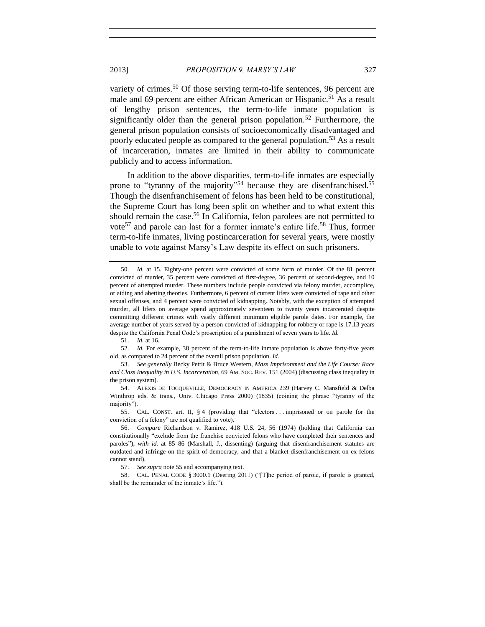variety of crimes.<sup>50</sup> Of those serving term-to-life sentences, 96 percent are male and 69 percent are either African American or Hispanic.<sup>51</sup> As a result of lengthy prison sentences, the term-to-life inmate population is significantly older than the general prison population.<sup>52</sup> Furthermore, the general prison population consists of socioeconomically disadvantaged and poorly educated people as compared to the general population.<sup>53</sup> As a result of incarceration, inmates are limited in their ability to communicate publicly and to access information.

<span id="page-6-1"></span><span id="page-6-0"></span>In addition to the above disparities, term-to-life inmates are especially prone to "tyranny of the majority"<sup>54</sup> because they are disenfranchised.<sup>55</sup> Though the disenfranchisement of felons has been held to be constitutional, the Supreme Court has long been split on whether and to what extent this should remain the case.<sup>56</sup> In California, felon parolees are not permitted to vote<sup>57</sup> and parole can last for a former inmate's entire life.<sup>58</sup> Thus, former term-to-life inmates, living postincarceration for several years, were mostly unable to vote against Marsy's Law despite its effect on such prisoners.

<sup>50.</sup> *Id.* at 15. Eighty-one percent were convicted of some form of murder. Of the 81 percent convicted of murder, 35 percent were convicted of first-degree, 36 percent of second-degree, and 10 percent of attempted murder. These numbers include people convicted via felony murder, accomplice, or aiding and abetting theories. Furthermore, 6 percent of current lifers were convicted of rape and other sexual offenses, and 4 percent were convicted of kidnapping. Notably, with the exception of attempted murder, all lifers on average spend approximately seventeen to twenty years incarcerated despite committing different crimes with vastly different minimum eligible parole dates. For example, the average number of years served by a person convicted of kidnapping for robbery or rape is 17.13 years despite the California Penal Code's proscription of a punishment of seven years to life. *Id.*

<sup>51.</sup> *Id.* at 16.

<sup>52.</sup> *Id.* For example, 38 percent of the term-to-life inmate population is above forty-five years old, as compared to 24 percent of the overall prison population. *Id.*

<sup>53.</sup> *See generally* Becky Pettit & Bruce Western, *Mass Imprisonment and the Life Course: Race and Class Inequality in U.S. Incarceration*, 69 AM. SOC. REV. 151 (2004) (discussing class inequality in the prison system).

<sup>54.</sup> ALEXIS DE TOCQUEVILLE, DEMOCRACY IN AMERICA 239 (Harvey C. Mansfield & Delba Winthrop eds. & trans., Univ. Chicago Press 2000) (1835) (coining the phrase "tyranny of the majority").

<sup>55.</sup> CAL. CONST. art. II, § 4 (providing that "electors . . . imprisoned or on parole for the conviction of a felony" are not qualified to vote).

<sup>56.</sup> *Compare* Richardson v. Ramirez, 418 U.S. 24, 56 (1974) (holding that California can constitutionally "exclude from the franchise convicted felons who have completed their sentences and paroles"), *with id.* at 85–86 (Marshall, J., dissenting) (arguing that disenfranchisement statutes are outdated and infringe on the spirit of democracy, and that a blanket disenfranchisement on ex-felons cannot stand).

<sup>57.</sup> *See supra* not[e 55](#page-6-0) and accompanying text.

<sup>58.</sup> CAL. PENAL CODE § 3000.1 (Deering 2011) ("[T]he period of parole, if parole is granted, shall be the remainder of the inmate's life.").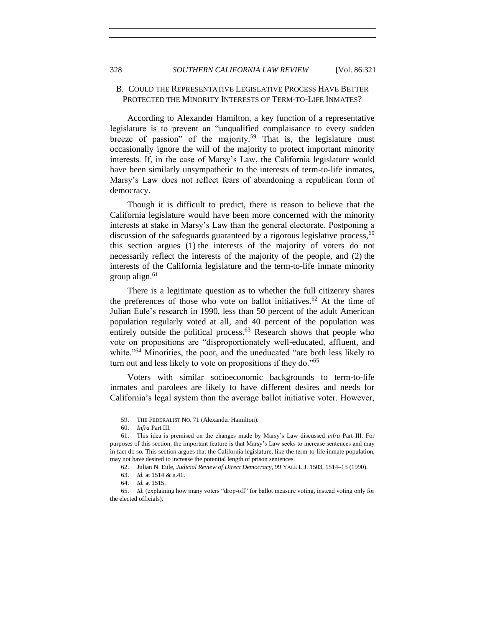#### B. COULD THE REPRESENTATIVE LEGISLATIVE PROCESS HAVE BETTER PROTECTED THE MINORITY INTERESTS OF TERM-TO-LIFE INMATES?

According to Alexander Hamilton, a key function of a representative legislature is to prevent an "unqualified complaisance to every sudden breeze of passion" of the majority.<sup>59</sup> That is, the legislature must occasionally ignore the will of the majority to protect important minority interests. If, in the case of Marsy's Law, the California legislature would have been similarly unsympathetic to the interests of term-to-life inmates, Marsy's Law does not reflect fears of abandoning a republican form of democracy.

Though it is difficult to predict, there is reason to believe that the California legislature would have been more concerned with the minority interests at stake in Marsy's Law than the general electorate. Postponing a discussion of the safeguards guaranteed by a rigorous legislative process,  $60$ this section argues (1) the interests of the majority of voters do not necessarily reflect the interests of the majority of the people, and (2) the interests of the California legislature and the term-to-life inmate minority group align. $61$ 

<span id="page-7-0"></span>There is a legitimate question as to whether the full citizenry shares the preferences of those who vote on ballot initiatives.<sup>62</sup> At the time of Julian Eule's research in 1990, less than 50 percent of the adult American population regularly voted at all, and 40 percent of the population was entirely outside the political process.<sup>63</sup> Research shows that people who vote on propositions are "disproportionately well-educated, affluent, and white."<sup>64</sup> Minorities, the poor, and the uneducated "are both less likely to turn out and less likely to vote on propositions if they do."<sup>65</sup>

Voters with similar socioeconomic backgrounds to term-to-life inmates and parolees are likely to have different desires and needs for California's legal system than the average ballot initiative voter. However,

<sup>59.</sup> THE FEDERALIST NO. 71 (Alexander Hamilton).

<sup>60.</sup> *Infra* Part III.

<sup>61.</sup> This idea is premised on the changes made by Marsy's Law discussed *infra* Part III. For purposes of this section, the important feature is that Marsy's Law seeks to increase sentences and may in fact do so. This section argues that the California legislature, like the term-to-life inmate population, may not have desired to increase the potential length of prison sentences.

<sup>62.</sup> Julian N. Eule, *Judicial Review of Direct Democracy*, 99 YALE L.J. 1503, 1514–15 (1990).

<sup>63.</sup> *Id.* at 1514 & n.41.

<sup>64.</sup> *Id.* at 1515.

<sup>65.</sup> *Id.* (explaining how many voters "drop-off" for ballot measure voting, instead voting only for the elected officials).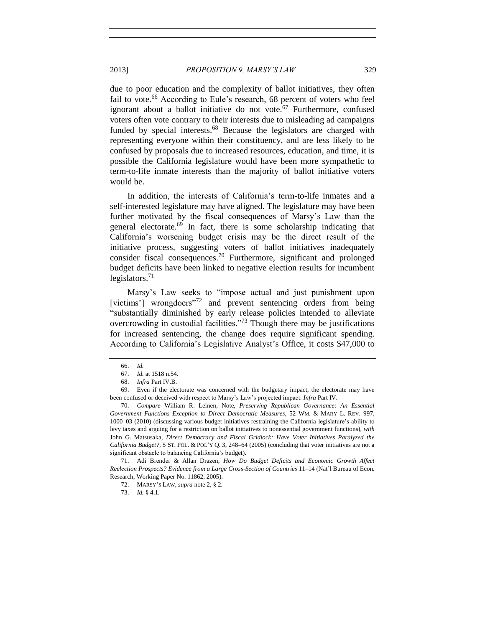due to poor education and the complexity of ballot initiatives, they often fail to vote.<sup>66</sup> According to Eule's research, 68 percent of voters who feel ignorant about a ballot initiative do not vote. $67$  Furthermore, confused voters often vote contrary to their interests due to misleading ad campaigns funded by special interests.<sup>68</sup> Because the legislators are charged with representing everyone within their constituency, and are less likely to be confused by proposals due to increased resources, education, and time, it is possible the California legislature would have been more sympathetic to term-to-life inmate interests than the majority of ballot initiative voters would be.

<span id="page-8-1"></span>In addition, the interests of California's term-to-life inmates and a self-interested legislature may have aligned. The legislature may have been further motivated by the fiscal consequences of Marsy's Law than the general electorate.<sup>69</sup> In fact, there is some scholarship indicating that California's worsening budget crisis may be the direct result of the initiative process, suggesting voters of ballot initiatives inadequately consider fiscal consequences.<sup>70</sup> Furthermore, significant and prolonged budget deficits have been linked to negative election results for incumbent legislators. $71$ 

<span id="page-8-2"></span><span id="page-8-0"></span>Marsy's Law seeks to "impose actual and just punishment upon [victims'] wrongdoers<sup>"72</sup> and prevent sentencing orders from being "substantially diminished by early release policies intended to alleviate overcrowding in custodial facilities."<sup>73</sup> Though there may be justifications for increased sentencing, the change does require significant spending. According to California's Legislative Analyst's Office, it costs \$47,000 to

71. Adi Brender & Allan Drazen, *How Do Budget Deficits and Economic Growth Affect Reelection Prospects? Evidence from a Large Cross-Section of Countries* 11–14 (Nat'l Bureau of Econ. Research, Working Paper No. 11862, 2005).

<sup>66.</sup> *Id.*

<sup>67.</sup> *Id.* at 1518 n.54.

<sup>68.</sup> *Infra* Part IV.B.

<sup>69.</sup> Even if the electorate was concerned with the budgetary impact, the electorate may have been confused or deceived with respect to Marsy's Law's projected impact. *Infra* Part IV.

<sup>70.</sup> *Compare* William R. Leinen, Note, *Preserving Republican Governance: An Essential Government Functions Exception to Direct Democratic Measures*, 52 WM. & MARY L. REV. 997, 1000–03 (2010) (discussing various budget initiatives restraining the California legislature's ability to levy taxes and arguing for a restriction on ballot initiatives to nonessential government functions), *with* John G. Matsusaka, *Direct Democracy and Fiscal Gridlock: Have Voter Initiatives Paralyzed the California Budget?*, 5 ST. POL. & POL'Y Q. 3, 248–64 (2005) (concluding that voter initiatives are not a significant obstacle to balancing California's budget).

<sup>72.</sup> MARSY'S LAW, *supra* not[e 2,](#page-0-1) § 2.

<sup>73.</sup> *Id.* § 4.1.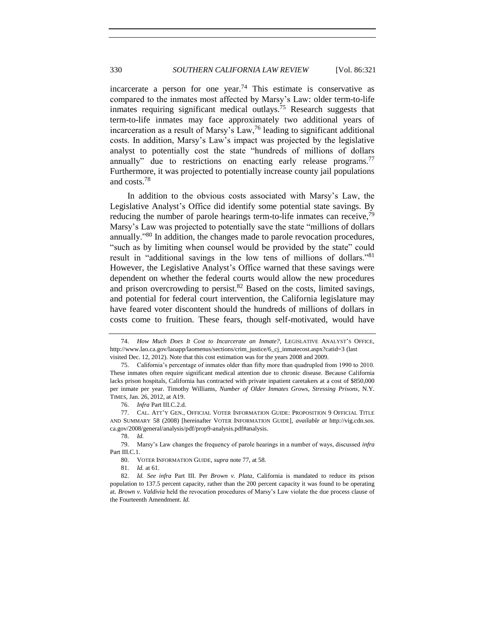<span id="page-9-4"></span><span id="page-9-3"></span>incarcerate a person for one year.<sup>74</sup> This estimate is conservative as compared to the inmates most affected by Marsy's Law: older term-to-life inmates requiring significant medical outlays.<sup>75</sup> Research suggests that term-to-life inmates may face approximately two additional years of incarceration as a result of Marsy's Law,  $\frac{76}{6}$  leading to significant additional costs. In addition, Marsy's Law's impact was projected by the legislative analyst to potentially cost the state "hundreds of millions of dollars annually" due to restrictions on enacting early release programs.<sup>77</sup> Furthermore, it was projected to potentially increase county jail populations and costs.<sup>78</sup>

<span id="page-9-2"></span><span id="page-9-0"></span>In addition to the obvious costs associated with Marsy's Law, the Legislative Analyst's Office did identify some potential state savings. By reducing the number of parole hearings term-to-life inmates can receive,  $79$ Marsy's Law was projected to potentially save the state "millions of dollars annually."<sup>80</sup> In addition, the changes made to parole revocation procedures, "such as by limiting when counsel would be provided by the state" could result in "additional savings in the low tens of millions of dollars."<sup>81</sup> However, the Legislative Analyst's Office warned that these savings were dependent on whether the federal courts would allow the new procedures and prison overcrowding to persist. $82$  Based on the costs, limited savings, and potential for federal court intervention, the California legislature may have feared voter discontent should the hundreds of millions of dollars in costs come to fruition. These fears, though self-motivated, would have

81. *Id.* at 61.

<span id="page-9-1"></span><sup>74.</sup> *How Much Does It Cost to Incarcerate an Inmate?*, LEGISLATIVE ANALYST'S OFFICE, http://www.lao.ca.gov/laoapp/laomenus/sections/crim\_justice/6\_cj\_inmatecost.aspx?catid=3 (last visited Dec. 12, 2012). Note that this cost estimation was for the years 2008 and 2009.

<sup>75.</sup> California's percentage of inmates older than fifty more than quadrupled from 1990 to 2010. These inmates often require significant medical attention due to chronic disease. Because California lacks prison hospitals, California has contracted with private inpatient caretakers at a cost of \$850,000 per inmate per year. Timothy Williams, *Number of Older Inmates Grows, Stressing Prisons*, N.Y. TIMES, Jan. 26, 2012, at A19.

<sup>76.</sup> *Infra* Part III.C.2.d.

<sup>77.</sup> CAL. ATT'Y GEN., OFFICIAL VOTER INFORMATION GUIDE: PROPOSITION 9 OFFICIAL TITLE AND SUMMARY 58 (2008) [hereinafter VOTER INFORMATION GUIDE], *available at* http://vig.cdn.sos. ca.gov/2008/general/analysis/pdf/prop9-analysis.pdf#analysis.

<sup>78.</sup> *Id.*

<sup>79.</sup> Marsy's Law changes the frequency of parole hearings in a number of ways, discussed *infra*  Part III.C.1.

<sup>80.</sup> VOTER INFORMATION GUIDE, *supra* not[e 77,](#page-9-0) at 58.

<sup>82.</sup> *Id. See infra* Part III. Per *Brown v. Plata*, California is mandated to reduce its prison population to 137.5 percent capacity, rather than the 200 percent capacity it was found to be operating at. *Brown v. Valdivia* held the revocation procedures of Marsy's Law violate the due process clause of the Fourteenth Amendment. *Id.*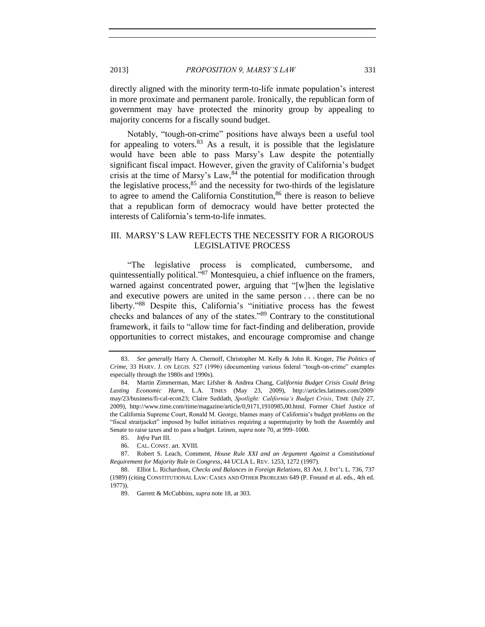directly aligned with the minority term-to-life inmate population's interest in more proximate and permanent parole. Ironically, the republican form of government may have protected the minority group by appealing to majority concerns for a fiscally sound budget.

Notably, "tough-on-crime" positions have always been a useful tool for appealing to voters.  $83$  As a result, it is possible that the legislature would have been able to pass Marsy's Law despite the potentially significant fiscal impact. However, given the gravity of California's budget crisis at the time of Marsy's Law,  $84$  the potential for modification through the legislative process,  $85$  and the necessity for two-thirds of the legislature to agree to amend the California Constitution,<sup>86</sup> there is reason to believe that a republican form of democracy would have better protected the interests of California's term-to-life inmates.

# III. MARSY'S LAW REFLECTS THE NECESSITY FOR A RIGOROUS LEGISLATIVE PROCESS

"The legislative process is complicated, cumbersome, and quintessentially political.<sup>787</sup> Montesquieu, a chief influence on the framers, warned against concentrated power, arguing that "[w]hen the legislative and executive powers are united in the same person . . . there can be no liberty."<sup>88</sup> Despite this, California's "initiative process has the fewest checks and balances of any of the states."<sup>89</sup> Contrary to the constitutional framework, it fails to "allow time for fact-finding and deliberation, provide opportunities to correct mistakes, and encourage compromise and change

<sup>83.</sup> *See generally* Harry A. Chernoff, Christopher M. Kelly & John R. Kroger, *The Politics of Crime*, 33 HARV. J. ON LEGIS. 527 (1996) (documenting various federal "tough-on-crime" examples especially through the 1980s and 1990s).

<sup>84.</sup> Martin Zimmerman, Marc Lifsher & Andrea Chang, *California Budget Crisis Could Bring Lasting Economic Harm*, L.A. TIMES (May 23, 2009), http://articles.latimes.com/2009/ may/23/business/fi-cal-econ23; Claire Suddath, *Spotlight: California's Budget Crisis*, TIME (July 27, 2009), http://www.time.com/time/magazine/article/0,9171,1910985,00.html. Former Chief Justice of the California Supreme Court, Ronald M. George, blames many of California's budget problems on the "fiscal straitjacket" imposed by ballot initiatives requiring a supermajority by both the Assembly and Senate to raise taxes and to pass a budget. Leinen, *supra* not[e 70,](#page-8-0) at 999–1000.

<sup>85.</sup> *Infra* Part III.

<sup>86.</sup> CAL. CONST. art. XVIII.

<sup>87.</sup> Robert S. Leach, Comment, *House Rule XXI and an Argument Against a Constitutional Requirement for Majority Rule in Congress*, 44 UCLA L. REV. 1253, 1272 (1997).

<sup>88.</sup> Elliot L. Richardson, *Checks and Balances in Foreign Relations*, 83 AM. J. INT'L L. 736, 737 (1989) (citing CONSTITUTIONAL LAW: CASES AND OTHER PROBLEMS 649 (P. Freund et al. eds., 4th ed. 1977)).

<sup>89.</sup> Garrett & McCubbins, *supra* not[e 18,](#page-2-0) at 303.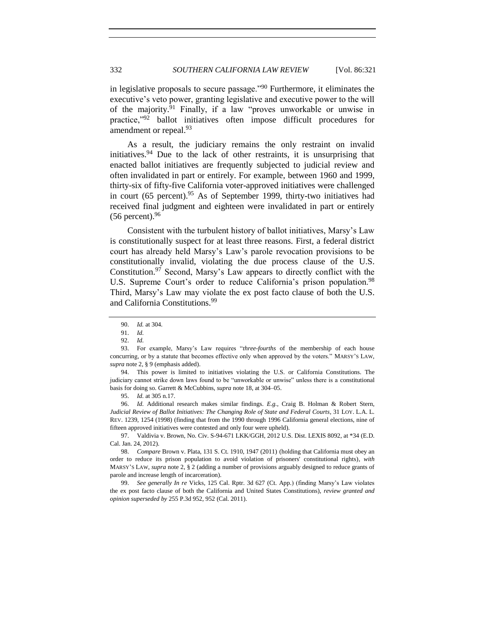in legislative proposals to secure passage."<sup>90</sup> Furthermore, it eliminates the executive's veto power, granting legislative and executive power to the will of the majority. $91$  Finally, if a law "proves unworkable or unwise in practice,"<sup>92</sup> ballot initiatives often impose difficult procedures for amendment or repeal.<sup>93</sup>

As a result, the judiciary remains the only restraint on invalid initiatives.  $94$  Due to the lack of other restraints, it is unsurprising that enacted ballot initiatives are frequently subjected to judicial review and often invalidated in part or entirely. For example, between 1960 and 1999, thirty-six of fifty-five California voter-approved initiatives were challenged in court (65 percent).<sup>95</sup> As of September 1999, thirty-two initiatives had received final judgment and eighteen were invalidated in part or entirely  $(56$  percent).  $96$ 

Consistent with the turbulent history of ballot initiatives, Marsy's Law is constitutionally suspect for at least three reasons. First, a federal district court has already held Marsy's Law's parole revocation provisions to be constitutionally invalid, violating the due process clause of the U.S. Constitution.<sup>97</sup> Second, Marsy's Law appears to directly conflict with the U.S. Supreme Court's order to reduce California's prison population.<sup>98</sup> Third, Marsy's Law may violate the ex post facto clause of both the U.S. and California Constitutions.<sup>99</sup>

94. This power is limited to initiatives violating the U.S. or California Constitutions. The judiciary cannot strike down laws found to be "unworkable or unwise" unless there is a constitutional basis for doing so. Garrett & McCubbins, *supra* note 18, at 304–05.

95. *Id.* at 305 n.17.

96. *Id.* Additional research makes similar findings. *E.g.*, Craig B. Holman & Robert Stern, *Judicial Review of Ballot Initiatives: The Changing Role of State and Federal Courts*, 31 LOY. L.A. L. REV. 1239, 1254 (1998) (finding that from the 1990 through 1996 California general elections, nine of fifteen approved initiatives were contested and only four were upheld).

97. Valdivia v. Brown, No. Civ. S-94-671 LKK/GGH, 2012 U.S. Dist. LEXIS 8092, at \*34 (E.D. Cal. Jan. 24, 2012).

98. *Compare* Brown v. Plata, 131 S. Ct. 1910, 1947 (2011) (holding that California must obey an order to reduce its prison population to avoid violation of prisoners' constitutional rights), *with* MARSY'S LAW, *supra* note [2,](#page-0-1) § 2 (adding a number of provisions arguably designed to reduce grants of parole and increase length of incarceration).

99. *See generally In re* Vicks, 125 Cal. Rptr. 3d 627 (Ct. App.) (finding Marsy's Law violates the ex post facto clause of both the California and United States Constitutions), *review granted and opinion superseded by* 255 P.3d 952, 952 (Cal. 2011).

<sup>90.</sup> *Id.* at 304.

<sup>91.</sup> *Id.*

<sup>92.</sup> *Id.*

<sup>93.</sup> For example, Marsy's Law requires "*three-fourths* of the membership of each house concurring, or by a statute that becomes effective only when approved by the voters." MARSY'S LAW, *supra* not[e 2,](#page-0-1) § 9 (emphasis added).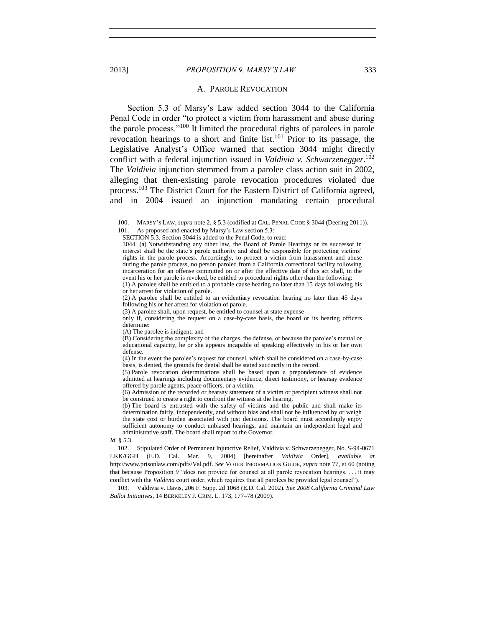#### 2013] *PROPOSITION 9, MARSY'S LAW* 333

#### <span id="page-12-0"></span>A. PAROLE REVOCATION

Section 5.3 of Marsy's Law added section 3044 to the California Penal Code in order "to protect a victim from harassment and abuse during the parole process."<sup>100</sup> It limited the procedural rights of parolees in parole revocation hearings to a short and finite list.<sup>101</sup> Prior to its passage, the Legislative Analyst's Office warned that section 3044 might directly conflict with a federal injunction issued in *Valdivia v. Schwarzenegger*. 102 The *Valdivia* injunction stemmed from a parolee class action suit in 2002, alleging that then-existing parole revocation procedures violated due process.<sup>103</sup> The District Court for the Eastern District of California agreed, and in 2004 issued an injunction mandating certain procedural

(b) The board is entrusted with the safety of victims and the public and shall make its determination fairly, independently, and without bias and shall not be influenced by or weigh the state cost or burden associated with just decisions. The board must accordingly enjoy sufficient autonomy to conduct unbiased hearings, and maintain an independent legal and administrative staff. The board shall report to the Governor.

*Id.* § 5.3.

<span id="page-12-1"></span><sup>100.</sup> MARSY'S LAW, *supra* not[e 2,](#page-0-1) § 5.3 (codified at CAL. PENAL CODE § 3044 (Deering 2011)). 101. As proposed and enacted by Marsy's Law section 5.3:

SECTION 5.3. Section 3044 is added to the Penal Code, to read:

<sup>3044. (</sup>a) Notwithstanding any other law, the Board of Parole Hearings or its successor in interest shall be the state's parole authority and shall be responsible for protecting victims' rights in the parole process. Accordingly, to protect a victim from harassment and abuse during the parole process, no person paroled from a California correctional facility following incarceration for an offense committed on or after the effective date of this act shall, in the event his or her parole is revoked, be entitled to procedural rights other than the following:

<sup>(1)</sup> A parolee shall be entitled to a probable cause hearing no later than 15 days following his or her arrest for violation of parole.

<sup>(2)</sup> A parolee shall be entitled to an evidentiary revocation hearing no later than 45 days following his or her arrest for violation of parole.

<sup>(3)</sup> A parolee shall, upon request, be entitled to counsel at state expense

only if, considering the request on a case-by-case basis, the board or its hearing officers determine:

<sup>(</sup>A) The parolee is indigent; and

<sup>(</sup>B) Considering the complexity of the charges, the defense, or because the parolee's mental or educational capacity, he or she appears incapable of speaking effectively in his or her own defense.

<sup>(4)</sup> In the event the parolee's request for counsel, which shall be considered on a case-by-case basis, is denied, the grounds for denial shall be stated succinctly in the record.

<sup>(5)</sup> Parole revocation determinations shall be based upon a preponderance of evidence admitted at hearings including documentary evidence, direct testimony, or hearsay evidence offered by parole agents, peace officers, or a victim.

<sup>(6)</sup> Admission of the recorded or hearsay statement of a victim or percipient witness shall not be construed to create a right to confront the witness at the hearing.

<sup>102.</sup> Stipulated Order of Permanent Injunctive Relief, Valdivia v. Schwarzenegger, No. S-94-0671 LKK/GGH (E.D. Cal. Mar. 9, 2004) [hereinafter *Valdivia* Order], *available at* http://www.prisonlaw.com/pdfs/Val.pdf. *See* VOTER INFORMATION GUIDE, *supra* note [77,](#page-9-0) at 60 (noting that because Proposition 9 "does not provide for counsel at all parole revocation hearings, . . . it may conflict with the *Valdivia* court order, which requires that all parolees be provided legal counsel").

<sup>103.</sup> Valdivia v. Davis, 206 F. Supp. 2d 1068 (E.D. Cal. 2002). *See 2008 California Criminal Law Ballot Initiatives*, 14 BERKELEY J. CRIM. L. 173, 177–78 (2009).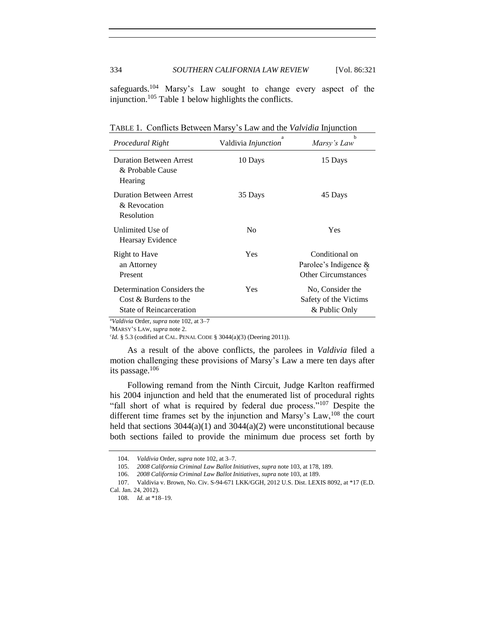safeguards.<sup>104</sup> Marsy's Law sought to change every aspect of the injunction.<sup>105</sup> Table 1 below highlights the conflicts.

| Procedural Right                                                                                | a<br>Valdivia Injunction | h<br>Marsy's Law                                                         |
|-------------------------------------------------------------------------------------------------|--------------------------|--------------------------------------------------------------------------|
| <b>Duration Between Arrest</b><br>& Probable Cause<br>Hearing                                   | 10 Days                  | 15 Days                                                                  |
| <b>Duration Between Arrest</b><br>& Revocation<br>Resolution                                    | 35 Days                  | 45 Days                                                                  |
| Unlimited Use of<br>Hearsay Evidence                                                            | N <sub>0</sub>           | Yes                                                                      |
| Right to Have<br>an Attorney<br>Present                                                         | Yes                      | Conditional on<br>Parolee's Indigence $\&$<br><b>Other Circumstances</b> |
| Determination Considers the<br>Cost & Burdens to the<br><b>State of Reincarceration</b><br>$-1$ | Yes                      | No. Consider the<br>Safety of the Victims<br>& Public Only               |

TABLE 1. Conflicts Between Marsy's Law and the *Valvidia* Injunction

<sup>a</sup>*Valdivia* Order, *supra* not[e 102,](#page-12-0) at 3–7

<sup>b</sup>MARSY'S LAW, *supra* not[e 2.](#page-0-1)

<sup>c</sup>Id. § 5.3 (codified at CAL. PENAL CODE § 3044(a)(3) (Deering 2011)).

As a result of the above conflicts, the parolees in *Valdivia* filed a motion challenging these provisions of Marsy's Law a mere ten days after its passage.<sup>106</sup>

Following remand from the Ninth Circuit, Judge Karlton reaffirmed his 2004 injunction and held that the enumerated list of procedural rights "fall short of what is required by federal due process."<sup>107</sup> Despite the different time frames set by the injunction and Marsy's Law,<sup>108</sup> the court held that sections  $3044(a)(1)$  and  $3044(a)(2)$  were unconstitutional because both sections failed to provide the minimum due process set forth by

<sup>104.</sup> *Valdivia* Order, *supra* note [102,](#page-12-0) at 3–7.

<sup>105.</sup> *2008 California Criminal Law Ballot Initiatives*, *supra* not[e 103,](#page-12-1) at 178, 189.

<sup>106.</sup> *2008 California Criminal Law Ballot Initiatives*, *supra* not[e 103,](#page-12-1) at 189.

<sup>107.</sup> Valdivia v. Brown, No. Civ. S-94-671 LKK/GGH, 2012 U.S. Dist. LEXIS 8092, at \*17 (E.D. Cal. Jan. 24, 2012).

<sup>108.</sup> *Id.* at \*18–19.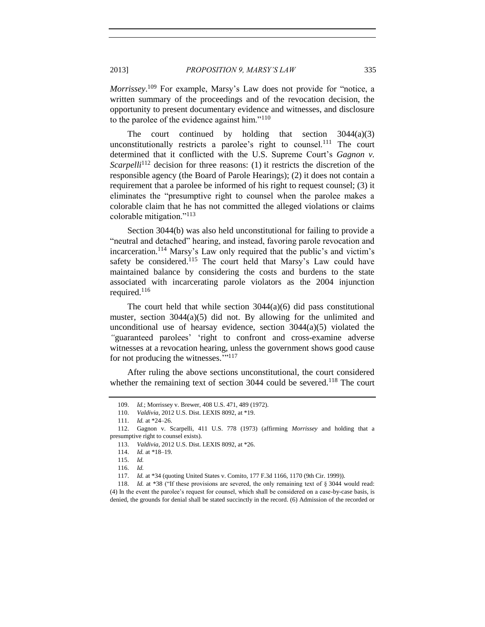*Morrissey*. <sup>109</sup> For example, Marsy's Law does not provide for "notice, a written summary of the proceedings and of the revocation decision, the opportunity to present documentary evidence and witnesses, and disclosure to the parolee of the evidence against him."<sup>110</sup>

The court continued by holding that section  $3044(a)(3)$ unconstitutionally restricts a parolee's right to counsel.<sup>111</sup> The court determined that it conflicted with the U.S. Supreme Court's *Gagnon v. Scarpelli*<sup>112</sup> decision for three reasons: (1) it restricts the discretion of the responsible agency (the Board of Parole Hearings); (2) it does not contain a requirement that a parolee be informed of his right to request counsel; (3) it eliminates the "presumptive right to counsel when the parolee makes a colorable claim that he has not committed the alleged violations or claims colorable mitigation."<sup>113</sup>

Section 3044(b) was also held unconstitutional for failing to provide a "neutral and detached" hearing, and instead, favoring parole revocation and incarceration.<sup>114</sup> Marsy's Law only required that the public's and victim's safety be considered.<sup>115</sup> The court held that Marsy's Law could have maintained balance by considering the costs and burdens to the state associated with incarcerating parole violators as the 2004 injunction required.<sup>116</sup>

The court held that while section  $3044(a)(6)$  did pass constitutional muster, section 3044(a)(5) did not. By allowing for the unlimited and unconditional use of hearsay evidence, section  $3044(a)(5)$  violated the *"*guaranteed parolees' 'right to confront and cross-examine adverse witnesses at a revocation hearing, unless the government shows good cause for not producing the witnesses."<sup>117</sup>

After ruling the above sections unconstitutional, the court considered whether the remaining text of section  $3044$  could be severed.<sup>118</sup> The court

118. *Id.* at \*38 ("If these provisions are severed, the only remaining text of § 3044 would read: (4) In the event the parolee's request for counsel, which shall be considered on a case-by-case basis, is denied, the grounds for denial shall be stated succinctly in the record. (6) Admission of the recorded or

<sup>109.</sup> *Id.*; Morrissey v. Brewer, 408 U.S. 471, 489 (1972).

<sup>110.</sup> *Valdivia*, 2012 U.S. Dist. LEXIS 8092, at \*19.

<sup>111.</sup> *Id.* at \*24–26.

<sup>112.</sup> Gagnon v. Scarpelli, 411 U.S. 778 (1973) (affirming *Morrissey* and holding that a presumptive right to counsel exists).

<sup>113.</sup> *Valdivia*, 2012 U.S. Dist. LEXIS 8092, at \*26.

<sup>114.</sup> *Id.* at \*18–19.

<sup>115.</sup> *Id.*

<sup>116.</sup> *Id.*

<sup>117.</sup> *Id.* at \*34 (quoting United States v. Comito, 177 F.3d 1166, 1170 (9th Cir. 1999)).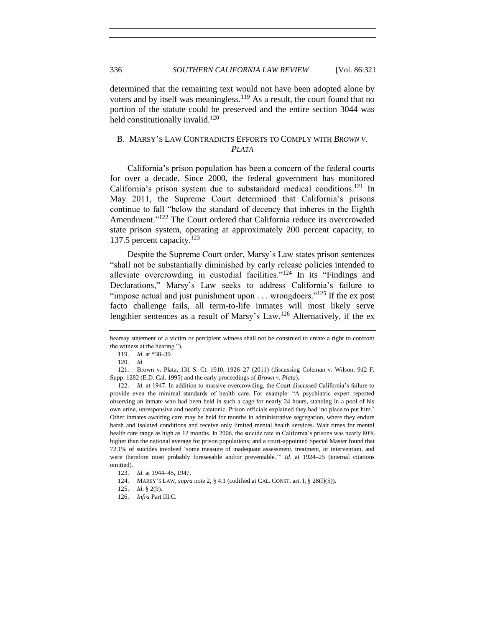determined that the remaining text would not have been adopted alone by voters and by itself was meaningless.<sup>119</sup> As a result, the court found that no portion of the statute could be preserved and the entire section 3044 was held constitutionally invalid.<sup>120</sup>

# <span id="page-15-0"></span>B. MARSY'S LAW CONTRADICTS EFFORTS TO COMPLY WITH *BROWN V. PLATA*

California's prison population has been a concern of the federal courts for over a decade. Since 2000, the federal government has monitored California's prison system due to substandard medical conditions. <sup>121</sup> In May 2011, the Supreme Court determined that California's prisons continue to fall "below the standard of decency that inheres in the Eighth Amendment."<sup>122</sup> The Court ordered that California reduce its overcrowded state prison system, operating at approximately 200 percent capacity, to 137.5 percent capacity.<sup>123</sup>

Despite the Supreme Court order, Marsy's Law states prison sentences "shall not be substantially diminished by early release policies intended to alleviate overcrowding in custodial facilities."<sup>124</sup> In its "Findings and Declarations," Marsy's Law seeks to address California's failure to "impose actual and just punishment upon  $\ldots$  wrongdoers."<sup>125</sup> If the ex post facto challenge fails, all term-to-life inmates will most likely serve lengthier sentences as a result of Marsy's Law.<sup>126</sup> Alternatively, if the ex-

hearsay statement of a victim or percipient witness shall not be construed to create a right to confront the witness at the hearing.").

<sup>119.</sup> *Id.* at \*38–39

<sup>120.</sup> *Id.*

<sup>121.</sup> Brown v. Plata, 131 S. Ct. 1910, 1926–27 (2011) (discussing Coleman v. Wilson, 912 F. Supp. 1282 (E.D. Cal. 1995) and the early proceedings of *Brown v. Plata*).

<sup>122.</sup> *Id*. at 1947. In addition to massive overcrowding, the Court discussed California's failure to provide even the minimal standards of health care. For example: "A psychiatric expert reported observing an inmate who had been held in such a cage for nearly 24 hours, standing in a pool of his own urine, unresponsive and nearly catatonic. Prison officials explained they had 'no place to put him.' Other inmates awaiting care may be held for months in administrative segregation, where they endure harsh and isolated conditions and receive only limited mental health services. Wait times for mental health care range as high as 12 months. In 2006, the suicide rate in California's prisons was nearly 80% higher than the national average for prison populations; and a court-appointed Special Master found that 72.1% of suicides involved 'some measure of inadequate assessment, treatment, or intervention, and were therefore most probably foreseeable and/or preventable.'" *Id*. at 1924–25 (internal citations omitted).

<sup>123.</sup> *Id.* at 1944–45, 1947.

<sup>124.</sup> MARSY'S LAW, *supra* not[e 2,](#page-0-1) § 4.1 (codified at CAL. CONST. art. I, § 28(f)(5)).

<sup>125.</sup> *Id*. § 2(9).

<sup>126.</sup> *Infra* Part III.C.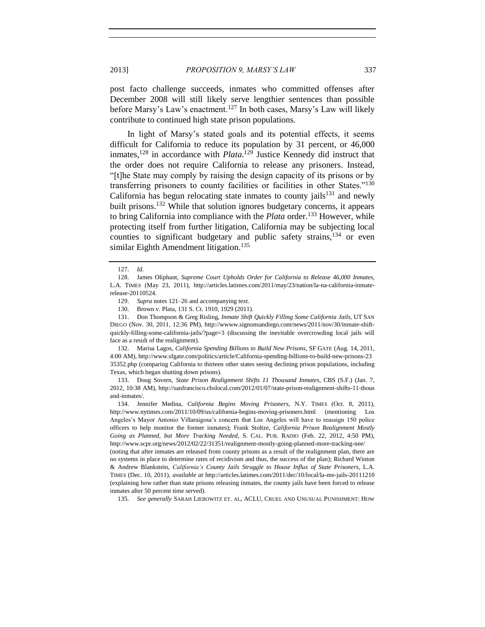post facto challenge succeeds, inmates who committed offenses after December 2008 will still likely serve lengthier sentences than possible before Marsy's Law's enactment.<sup>127</sup> In both cases, Marsy's Law will likely contribute to continued high state prison populations.

In light of Marsy's stated goals and its potential effects, it seems difficult for California to reduce its population by 31 percent, or 46,000 inmates,<sup>128</sup> in accordance with *Plata*. <sup>129</sup> Justice Kennedy did instruct that the order does not require California to release any prisoners. Instead, "[t]he State may comply by raising the design capacity of its prisons or by transferring prisoners to county facilities or facilities in other States."<sup>130</sup> California has begun relocating state inmates to county jails $131$  and newly built prisons.<sup>132</sup> While that solution ignores budgetary concerns, it appears to bring California into compliance with the *Plata* order.<sup>133</sup> However, while protecting itself from further litigation, California may be subjecting local counties to significant budgetary and public safety strains,  $134$  or even similar Eighth Amendment litigation.<sup>135</sup>

131. Don Thompson & Greg Risling, *Inmate Shift Quickly Filling Some California Jails*, UT SAN DIEGO (Nov. 30, 2011, 12:36 PM), http://wwww.signonsandiego.com/news/2011/nov/30/inmate-shiftquickly-filling-some-california-jails/?page=3 (discussing the inevitable overcrowding local jails will face as a result of the realignment).

132. Marisa Lagos, *California Spending Billions to Build New Prisons*, SF GATE (Aug. 14, 2011, 4:00 AM), http://www.sfgate.com/politics/article/California-spending-billions-to-build-new-prisons-23 35352.php (comparing California to thirteen other states seeing declining prison populations, including Texas, which began shutting down prisons).

133. Doug Sovern, *State Prison Realignment Shifts 11 Thousand Inmates*, CBS (S.F.) (Jan. 7, 2012, 10:38 AM), http://sanfrancisco.cbslocal.com/2012/01/07/state-prison-realignment-shifts-11-thous and-inmates/.

134. Jennifer Medina, *California Begins Moving Prisoners*, N.Y. TIMES (Oct. 8, 2011), http://www.nytimes.com/2011/10/09/us/california-begins-moving-prisoners.html (mentioning Los Angeles's Mayor Antonio Villaraigosa's concern that Los Angeles will have to reassign 150 police officers to help monitor the former inmates); Frank Stoltze, *California Prison Realignment Mostly Going as Planned, but More Tracking Needed*, S. CAL. PUB. RADIO (Feb. 22, 2012, 4:50 PM), http://www.scpr.org/news/2012/02/22/31351/realignment-mostly-going-planned-more-tracking-nee/

(noting that after inmates are released from county prisons as a result of the realignment plan, there are no systems in place to determine rates of recidivism and thus, the success of the plan); Richard Winton & Andrew Blankstein, *California's County Jails Struggle to House Influx of State Prisoners*, L.A. TIMES (Dec. 10, 2011), *available at* http://articles.latimes.com/2011/dec/10/local/la-me-jails-20111210 (explaining how rather than state prisons releasing inmates, the county jails have been forced to release inmates after 50 percent time served).

135. *See generally* SARAH LIEBOWITZ ET. AL, ACLU, CRUEL AND UNUSUAL PUNISHMENT: HOW

<sup>127.</sup> *Id.*

<sup>128.</sup> James Oliphant, *Supreme Court Upholds Order for California to Release 46,000 Inmates*, L.A. TIMES (May 23, 2011), http://articles.latimes.com/2011/may/23/nation/la-na-california-inmaterelease-20110524.

<sup>129.</sup> *Supra* notes [121](#page-15-0)[–26](#page-3-0) and accompanying text.

<sup>130.</sup> Brown v. Plata, 131 S. Ct. 1910, 1929 (2011).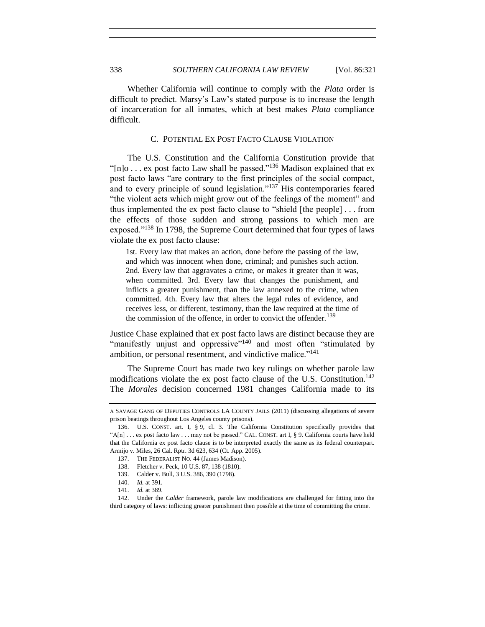Whether California will continue to comply with the *Plata* order is difficult to predict. Marsy's Law's stated purpose is to increase the length of incarceration for all inmates, which at best makes *Plata* compliance difficult.

### C. POTENTIAL EX POST FACTO CLAUSE VIOLATION

The U.S. Constitution and the California Constitution provide that "[n]o . . . ex post facto Law shall be passed."<sup>136</sup> Madison explained that ex post facto laws "are contrary to the first principles of the social compact, and to every principle of sound legislation." $137$  His contemporaries feared "the violent acts which might grow out of the feelings of the moment" and thus implemented the ex post facto clause to "shield [the people] . . . from the effects of those sudden and strong passions to which men are exposed."<sup>138</sup> In 1798, the Supreme Court determined that four types of laws violate the ex post facto clause:

1st. Every law that makes an action, done before the passing of the law, and which was innocent when done, criminal; and punishes such action. 2nd. Every law that aggravates a crime, or makes it greater than it was, when committed. 3rd. Every law that changes the punishment, and inflicts a greater punishment, than the law annexed to the crime, when committed. 4th. Every law that alters the legal rules of evidence, and receives less, or different, testimony, than the law required at the time of the commission of the offence, in order to convict the offender.<sup>139</sup>

Justice Chase explained that ex post facto laws are distinct because they are "manifestly unjust and oppressive"<sup>140</sup> and most often "stimulated by ambition, or personal resentment, and vindictive malice."<sup>141</sup>

<span id="page-17-0"></span>The Supreme Court has made two key rulings on whether parole law modifications violate the ex post facto clause of the U.S. Constitution. 142 The *Morales* decision concerned 1981 changes California made to its

A SAVAGE GANG OF DEPUTIES CONTROLS LA COUNTY JAILS (2011) (discussing allegations of severe prison beatings throughout Los Angeles county prisons).

<sup>136.</sup> U.S. CONST. art. I, § 9, cl. 3. The California Constitution specifically provides that "A[n]  $\ldots$  ex post facto law  $\ldots$  may not be passed." CAL. CONST. art I, § 9. California courts have held that the California ex post facto clause is to be interpreted exactly the same as its federal counterpart. Armijo v. Miles, 26 Cal. Rptr. 3d 623, 634 (Ct. App. 2005).

<sup>137.</sup> THE FEDERALIST NO. 44 (James Madison).

<sup>138.</sup> Fletcher v. Peck, 10 U.S. 87, 138 (1810).

<sup>139.</sup> Calder v. Bull, 3 U.S. 386, 390 (1798).

<sup>140.</sup> *Id.* at 391.

<sup>141.</sup> *Id.* at 389.

<sup>142.</sup> Under the *Calder* framework, parole law modifications are challenged for fitting into the third category of laws: inflicting greater punishment then possible at the time of committing the crime.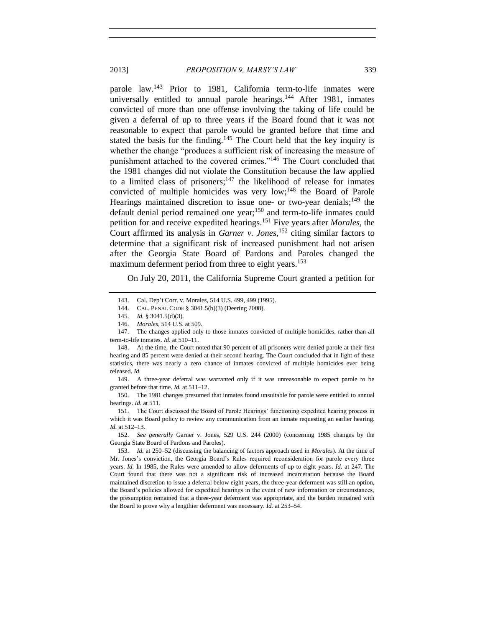parole law.<sup>143</sup> Prior to 1981, California term-to-life inmates were universally entitled to annual parole hearings.<sup>144</sup> After 1981, inmates convicted of more than one offense involving the taking of life could be given a deferral of up to three years if the Board found that it was not reasonable to expect that parole would be granted before that time and stated the basis for the finding.<sup>145</sup> The Court held that the key inquiry is whether the change "produces a sufficient risk of increasing the measure of punishment attached to the covered crimes."<sup>146</sup> The Court concluded that the 1981 changes did not violate the Constitution because the law applied to a limited class of prisoners;<sup>147</sup> the likelihood of release for inmates convicted of multiple homicides was very low;<sup>148</sup> the Board of Parole Hearings maintained discretion to issue one- or two-year denials;<sup>149</sup> the default denial period remained one year;<sup>150</sup> and term-to-life inmates could petition for and receive expedited hearings.<sup>151</sup> Five years after *Morales*, the Court affirmed its analysis in *Garner v. Jones*, <sup>152</sup> citing similar factors to determine that a significant risk of increased punishment had not arisen after the Georgia State Board of Pardons and Paroles changed the maximum deferment period from three to eight years.<sup>153</sup>

On July 20, 2011, the California Supreme Court granted a petition for

149. A three-year deferral was warranted only if it was unreasonable to expect parole to be granted before that time. *Id.* at 511–12.

150. The 1981 changes presumed that inmates found unsuitable for parole were entitled to annual hearings. *Id.* at 511.

151. The Court discussed the Board of Parole Hearings' functioning expedited hearing process in which it was Board policy to review any communication from an inmate requesting an earlier hearing. *Id.* at 512–13.

152. *See generally* Garner v. Jones, 529 U.S. 244 (2000) (concerning 1985 changes by the Georgia State Board of Pardons and Paroles).

153. *Id.* at 250–52 (discussing the balancing of factors approach used in *Morales*). At the time of Mr. Jones's conviction, the Georgia Board's Rules required reconsideration for parole every three years. *Id.* In 1985, the Rules were amended to allow deferments of up to eight years. *Id.* at 247. The Court found that there was not a significant risk of increased incarceration because the Board maintained discretion to issue a deferral below eight years, the three-year deferment was still an option, the Board's policies allowed for expedited hearings in the event of new information or circumstances, the presumption remained that a three-year deferment was appropriate, and the burden remained with the Board to prove why a lengthier deferment was necessary. *Id.* at 253–54.

<sup>143.</sup> Cal. Dep't Corr. v. Morales, 514 U.S. 499, 499 (1995).

<sup>144.</sup> CAL. PENAL CODE § 3041.5(b)(3) (Deering 2008).

<sup>145.</sup> *Id.* § 3041.5(d)(3).

<sup>146.</sup> *Morales*, 514 U.S. at 509.

<sup>147.</sup> The changes applied only to those inmates convicted of multiple homicides, rather than all term-to-life inmates. *Id.* at 510–11.

<sup>148.</sup> At the time, the Court noted that 90 percent of all prisoners were denied parole at their first hearing and 85 percent were denied at their second hearing. The Court concluded that in light of these statistics, there was nearly a zero chance of inmates convicted of multiple homicides ever being released. *Id.*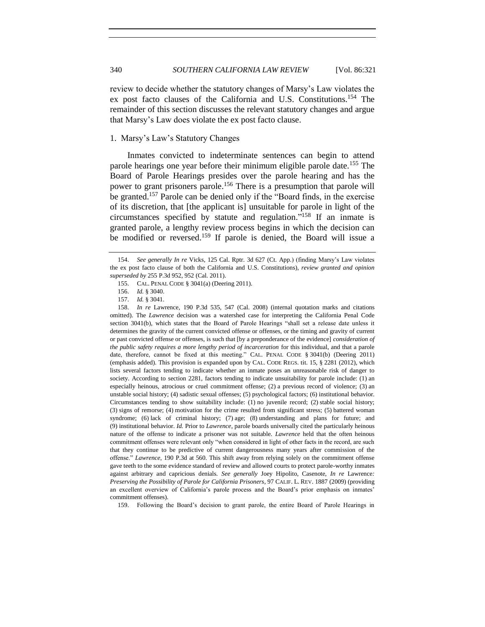review to decide whether the statutory changes of Marsy's Law violates the ex post facto clauses of the California and U.S. Constitutions.<sup>154</sup> The remainder of this section discusses the relevant statutory changes and argue that Marsy's Law does violate the ex post facto clause.

#### 1. Marsy's Law's Statutory Changes

Inmates convicted to indeterminate sentences can begin to attend parole hearings one year before their minimum eligible parole date.<sup>155</sup> The Board of Parole Hearings presides over the parole hearing and has the power to grant prisoners parole.<sup>156</sup> There is a presumption that parole will be granted. <sup>157</sup> Parole can be denied only if the "Board finds, in the exercise of its discretion, that [the applicant is] unsuitable for parole in light of the circumstances specified by statute and regulation." <sup>158</sup> If an inmate is granted parole, a lengthy review process begins in which the decision can be modified or reversed.<sup>159</sup> If parole is denied, the Board will issue a

159. Following the Board's decision to grant parole, the entire Board of Parole Hearings in

<sup>154.</sup> *See generally In re* Vicks, 125 Cal. Rptr. 3d 627 (Ct. App.) (finding Marsy's Law violates the ex post facto clause of both the California and U.S. Constitutions), *review granted and opinion superseded by* 255 P.3d 952, 952 (Cal. 2011).

<sup>155.</sup> CAL. PENAL CODE § 3041(a) (Deering 2011).

<sup>156.</sup> *Id.* § 3040.

<sup>157.</sup> *Id.* § 3041.

<sup>158.</sup> *In re* Lawrence, 190 P.3d 535, 547 (Cal. 2008) (internal quotation marks and citations omitted). The *Lawrence* decision was a watershed case for interpreting the California Penal Code section 3041(b), which states that the Board of Parole Hearings "shall set a release date unless it determines the gravity of the current convicted offense or offenses, or the timing and gravity of current or past convicted offense or offenses, is such that [by a preponderance of the evidence] *consideration of the public safety requires a more lengthy period of incarceration* for this individual, and that a parole date, therefore, cannot be fixed at this meeting." CAL. PENAL CODE § 3041(b) (Deering 2011) (emphasis added). This provision is expanded upon by CAL. CODE REGS. tit. 15, § 2281 (2012), which lists several factors tending to indicate whether an inmate poses an unreasonable risk of danger to society. According to section 2281, factors tending to indicate unsuitability for parole include: (1) an especially heinous, atrocious or cruel commitment offense; (2) a previous record of violence; (3) an unstable social history; (4) sadistic sexual offenses; (5) psychological factors; (6) institutional behavior. Circumstances tending to show suitability include: (1) no juvenile record; (2) stable social history; (3) signs of remorse; (4) motivation for the crime resulted from significant stress; (5) battered woman syndrome; (6) lack of criminal history; (7) age; (8) understanding and plans for future; and (9) institutional behavior. *Id.* Prior to *Lawrence*, parole boards universally cited the particularly heinous nature of the offense to indicate a prisoner was not suitable. *Lawrence* held that the often heinous commitment offenses were relevant only "when considered in light of other facts in the record, are such that they continue to be predictive of current dangerousness many years after commission of the offense." *Lawrence*, 190 P.3d at 560. This shift away from relying solely on the commitment offense gave teeth to the some evidence standard of review and allowed courts to protect parole-worthy inmates against arbitrary and capricious denials. *See generally* Joey Hipolito, Casenote, *In re* Lawrence*: Preserving the Possibility of Parole for California Prisoners*, 97 CALIF. L. REV. 1887 (2009) (providing an excellent overview of California's parole process and the Board's prior emphasis on inmates' commitment offenses).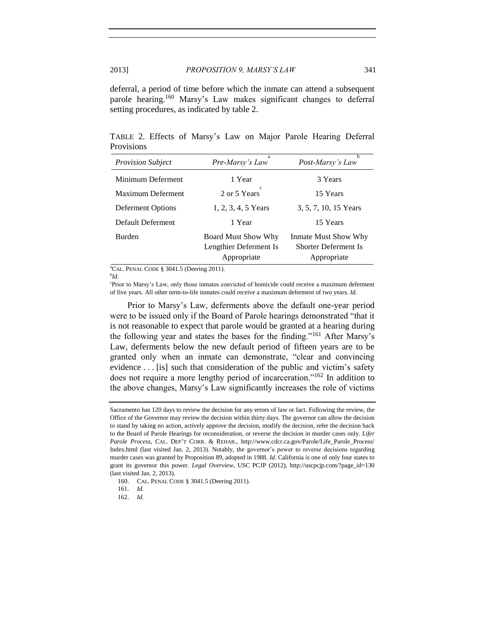deferral, a period of time before which the inmate can attend a subsequent parole hearing.<sup>160</sup> Marsy's Law makes significant changes to deferral setting procedures, as indicated by table 2.

TABLE 2. Effects of Marsy's Law on Major Parole Hearing Deferral Provisions

| <b>Provision Subject</b> | a<br>Pre-Marsy's Law       | b<br>Post-Marsy's Law       |
|--------------------------|----------------------------|-----------------------------|
| Minimum Deferment        | 1 Year                     | 3 Years                     |
| Maximum Deferment        | 2 or 5 Years               | 15 Years                    |
| Deferment Options        | 1, 2, 3, 4, 5 Years        | 3, 5, 7, 10, 15 Years       |
| Default Deferment        | 1 Year                     | 15 Years                    |
| <b>Burden</b>            | <b>Board Must Show Why</b> | Inmate Must Show Why        |
|                          | Lengthier Deferment Is     | <b>Shorter Deferment Is</b> |
|                          | Appropriate                | Appropriate                 |

<sup>a</sup>CAL. PENAL CODE § 3041.5 (Deering 2011).

b *Id.*

c Prior to Marsy's Law, only those inmates convicted of homicide could receive a maximum deferment of five years. All other term-to-life inmates could receive a maximum deferment of two years. *Id.*

Prior to Marsy's Law, deferments above the default one-year period were to be issued only if the Board of Parole hearings demonstrated "that it is not reasonable to expect that parole would be granted at a hearing during the following year and states the bases for the finding."<sup>161</sup> After Marsy's Law, deferments below the new default period of fifteen years are to be granted only when an inmate can demonstrate, "clear and convincing evidence . . . [is] such that consideration of the public and victim's safety does not require a more lengthy period of incarceration."<sup>162</sup> In addition to the above changes, Marsy's Law significantly increases the role of victims

Sacramento has 120 days to review the decision for any errors of law or fact. Following the review, the Office of the Governor may review the decision within thirty days. The governor can allow the decision to stand by taking no action, actively approve the decision, modify the decision, refer the decision back to the Board of Parole Hearings for reconsideration, or reverse the decision in murder cases only. *Lifer*  Parole Process, CAL. DEP'T CORR. & REHAB., http://www.cdcr.ca.gov/Parole/Life\_Parole\_Process/ Index.html (last visited Jan. 2, 2013). Notably, the governor's power to reverse decisions regarding murder cases was granted by Proposition 89, adopted in 1988. *Id.* California is one of only four states to grant its governor this power. *Legal Overview*, USC PCJP (2012), http://uscpcjp.com/?page\_id=130 (last visited Jan. 2, 2013).

<sup>160.</sup> CAL. PENAL CODE § 3041.5 (Deering 2011).

<sup>161.</sup> *Id.*

<sup>162.</sup> *Id.*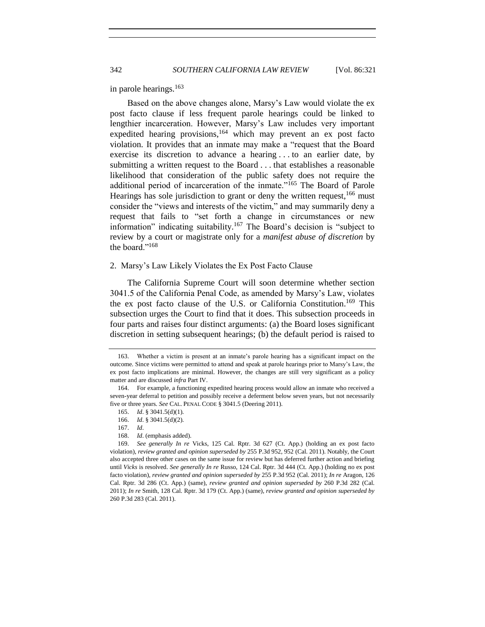in parole hearings.<sup>163</sup>

Based on the above changes alone, Marsy's Law would violate the ex post facto clause if less frequent parole hearings could be linked to lengthier incarceration. However, Marsy's Law includes very important expedited hearing provisions,<sup>164</sup> which may prevent an ex post facto violation. It provides that an inmate may make a "request that the Board exercise its discretion to advance a hearing . . . to an earlier date, by submitting a written request to the Board . . . that establishes a reasonable likelihood that consideration of the public safety does not require the additional period of incarceration of the inmate."<sup>165</sup> The Board of Parole Hearings has sole jurisdiction to grant or deny the written request,  $166$  must consider the "views and interests of the victim," and may summarily deny a request that fails to "set forth a change in circumstances or new information" indicating suitability.<sup>167</sup> The Board's decision is "subject to review by a court or magistrate only for a *manifest abuse of discretion* by the board."<sup>168</sup>

#### 2. Marsy's Law Likely Violates the Ex Post Facto Clause

The California Supreme Court will soon determine whether section 3041.5 of the California Penal Code, as amended by Marsy's Law, violates the ex post facto clause of the U.S. or California Constitution. <sup>169</sup> This subsection urges the Court to find that it does. This subsection proceeds in four parts and raises four distinct arguments: (a) the Board loses significant discretion in setting subsequent hearings; (b) the default period is raised to

168. *Id*. (emphasis added).

<sup>163.</sup> Whether a victim is present at an inmate's parole hearing has a significant impact on the outcome. Since victims were permitted to attend and speak at parole hearings prior to Marsy's Law, the ex post facto implications are minimal. However, the changes are still very significant as a policy matter and are discussed *infra* Part IV.

<sup>164.</sup> For example, a functioning expedited hearing process would allow an inmate who received a seven-year deferral to petition and possibly receive a deferment below seven years, but not necessarily five or three years. *See* CAL. PENAL CODE § 3041.5 (Deering 2011).

<sup>165.</sup> *Id*. § 3041.5(d)(1).

<sup>166.</sup> *Id*. § 3041.5(d)(2).

<sup>167.</sup> *Id*.

<sup>169.</sup> *See generally In re* Vicks, 125 Cal. Rptr. 3d 627 (Ct. App.) (holding an ex post facto violation), *review granted and opinion superseded by* 255 P.3d 952, 952 (Cal. 2011). Notably, the Court also accepted three other cases on the same issue for review but has deferred further action and briefing until *Vicks* is resolved. *See generally In re* Russo, 124 Cal. Rptr. 3d 444 (Ct. App.) (holding no ex post facto violation), *review granted and opinion superseded by* 255 P.3d 952 (Cal. 2011); *In re* Aragon, 126 Cal. Rptr. 3d 286 (Ct. App.) (same), *review granted and opinion superseded by* 260 P.3d 282 (Cal. 2011); *In re* Smith, 128 Cal. Rptr. 3d 179 (Ct. App.) (same), *review granted and opinion superseded by* 260 P.3d 283 (Cal. 2011).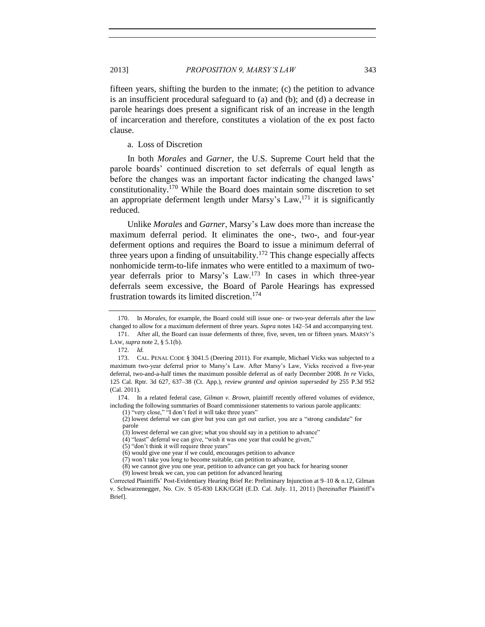fifteen years, shifting the burden to the inmate; (c) the petition to advance is an insufficient procedural safeguard to (a) and (b); and (d) a decrease in parole hearings does present a significant risk of an increase in the length of incarceration and therefore, constitutes a violation of the ex post facto clause.

a. Loss of Discretion

In both *Morales* and *Garner*, the U.S. Supreme Court held that the parole boards' continued discretion to set deferrals of equal length as before the changes was an important factor indicating the changed laws' constitutionality.<sup>170</sup> While the Board does maintain some discretion to set an appropriate deferment length under Marsy's Law,  $171$  it is significantly reduced.

Unlike *Morales* and *Garner*, Marsy's Law does more than increase the maximum deferral period. It eliminates the one-, two-, and four-year deferment options and requires the Board to issue a minimum deferral of three years upon a finding of unsuitability.<sup>172</sup> This change especially affects nonhomicide term-to-life inmates who were entitled to a maximum of twoyear deferrals prior to Marsy's Law.<sup>173</sup> In cases in which three-year deferrals seem excessive, the Board of Parole Hearings has expressed frustration towards its limited discretion.<sup>174</sup>

(1) "very close," "I don't feel it will take three years"

(2) lowest deferral we can give but you can get out earlier, you are a "strong candidate" for parole

<span id="page-22-0"></span><sup>170.</sup> In *Morales*, for example, the Board could still issue one- or two-year deferrals after the law changed to allow for a maximum deferment of three years. *Supra* note[s 142](#page-17-0)[–54](#page-6-1) and accompanying text.

<sup>171.</sup> After all, the Board can issue deferments of three, five, seven, ten or fifteen years. MARSY'S LAW, *supra* not[e 2,](#page-0-1) § 5.1(b).

<sup>172.</sup> *Id.*

<sup>173.</sup> CAL. PENAL CODE § 3041.5 (Deering 2011). For example, Michael Vicks was subjected to a maximum two-year deferral prior to Marsy's Law. After Marsy's Law, Vicks received a five-year deferral, two-and-a-half times the maximum possible deferral as of early December 2008. *In re* Vicks, 125 Cal. Rptr. 3d 627, 637–38 (Ct. App.), *review granted and opinion superseded by* 255 P.3d 952 (Cal. 2011).

<sup>174.</sup> In a related federal case, *Gilman v. Brown*, plaintiff recently offered volumes of evidence, including the following summaries of Board commissioner statements to various parole applicants:

<sup>(3)</sup> lowest deferral we can give; what you should say in a petition to advance"

<sup>(4)</sup> "least" deferral we can give, "wish it was one year that could be given,"

<sup>(5)</sup> "don't think it will require three years"

<sup>(6)</sup> would give one year if we could, encourages petition to advance

<sup>(7)</sup> won't take you long to become suitable, can petition to advance,

<sup>(8)</sup> we cannot give you one year, petition to advance can get you back for hearing sooner (9) lowest break we can, you can petition for advanced hearing

Corrected Plaintiffs' Post-Evidentiary Hearing Brief Re: Preliminary Injunction at 9–10 & n.12, Gilman v. Schwarzenegger, No. Civ. S 05-830 LKK/GGH (E.D. Cal. July. 11, 2011) [hereinafter Plaintiff's Brief].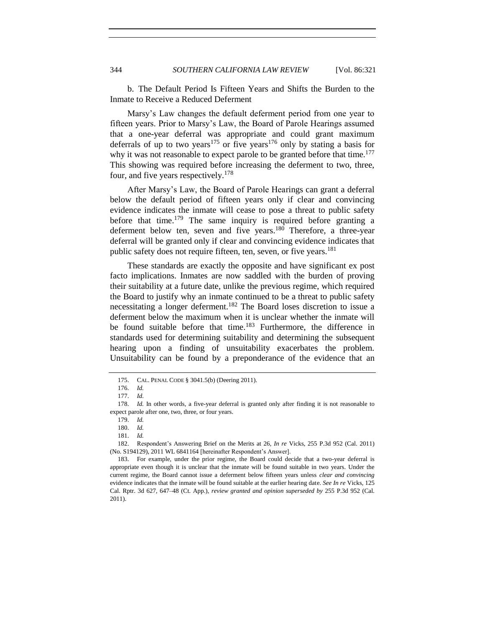b. The Default Period Is Fifteen Years and Shifts the Burden to the Inmate to Receive a Reduced Deferment

Marsy's Law changes the default deferment period from one year to fifteen years. Prior to Marsy's Law, the Board of Parole Hearings assumed that a one-year deferral was appropriate and could grant maximum deferrals of up to two years<sup>175</sup> or five years<sup>176</sup> only by stating a basis for why it was not reasonable to expect parole to be granted before that time.<sup>177</sup> This showing was required before increasing the deferment to two, three, four, and five years respectively.<sup>178</sup>

After Marsy's Law, the Board of Parole Hearings can grant a deferral below the default period of fifteen years only if clear and convincing evidence indicates the inmate will cease to pose a threat to public safety before that time.<sup>179</sup> The same inquiry is required before granting a deferment below ten, seven and five years.<sup>180</sup> Therefore, a three-year deferral will be granted only if clear and convincing evidence indicates that public safety does not require fifteen, ten, seven, or five years.<sup>181</sup>

<span id="page-23-0"></span>These standards are exactly the opposite and have significant ex post facto implications. Inmates are now saddled with the burden of proving their suitability at a future date, unlike the previous regime, which required the Board to justify why an inmate continued to be a threat to public safety necessitating a longer deferment.<sup>182</sup> The Board loses discretion to issue a deferment below the maximum when it is unclear whether the inmate will be found suitable before that time.<sup>183</sup> Furthermore, the difference in standards used for determining suitability and determining the subsequent hearing upon a finding of unsuitability exacerbates the problem. Unsuitability can be found by a preponderance of the evidence that an

<sup>175.</sup> CAL. PENAL CODE § 3041.5(b) (Deering 2011).

<sup>176.</sup> *Id.*

<sup>177.</sup> *Id.*

<sup>178.</sup> *Id.* In other words, a five-year deferral is granted only after finding it is not reasonable to expect parole after one, two, three, or four years.

<sup>179.</sup> *Id.*

<sup>180.</sup> *Id.*

<sup>181.</sup> *Id.*

<sup>182.</sup> Respondent's Answering Brief on the Merits at 26, *In re* Vicks, 255 P.3d 952 (Cal. 2011) (No. S194129), 2011 WL 6841164 [hereinafter Respondent's Answer].

<sup>183.</sup> For example, under the prior regime, the Board could decide that a two-year deferral is appropriate even though it is unclear that the inmate will be found suitable in two years. Under the current regime, the Board cannot issue a deferment below fifteen years unless *clear and convincing* evidence indicates that the inmate will be found suitable at the earlier hearing date. *See In re* Vicks, 125 Cal. Rptr. 3d 627, 647–48 (Ct. App.), *review granted and opinion superseded by* 255 P.3d 952 (Cal. 2011).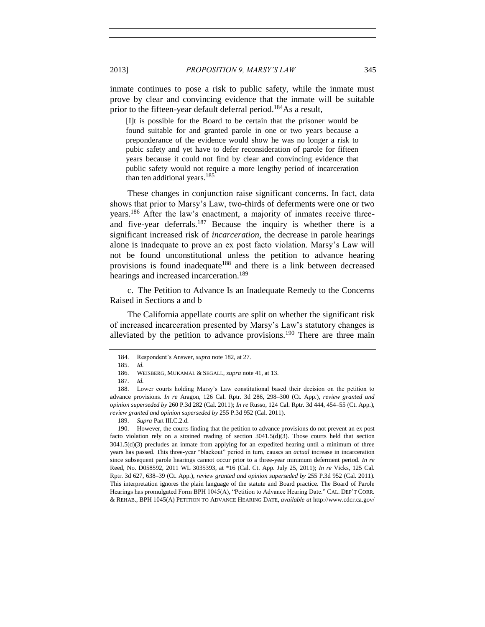inmate continues to pose a risk to public safety, while the inmate must prove by clear and convincing evidence that the inmate will be suitable prior to the fifteen-year default deferral period.<sup>184</sup>As a result,

[I]t is possible for the Board to be certain that the prisoner would be found suitable for and granted parole in one or two years because a preponderance of the evidence would show he was no longer a risk to pubic safety and yet have to defer reconsideration of parole for fifteen years because it could not find by clear and convincing evidence that public safety would not require a more lengthy period of incarceration than ten additional years.<sup>185</sup>

These changes in conjunction raise significant concerns. In fact, data shows that prior to Marsy's Law, two-thirds of deferments were one or two years.<sup>186</sup> After the law's enactment, a majority of inmates receive threeand five-year deferrals.<sup>187</sup> Because the inquiry is whether there is a significant increased risk of *incarceration*, the decrease in parole hearings alone is inadequate to prove an ex post facto violation. Marsy's Law will not be found unconstitutional unless the petition to advance hearing provisions is found inadequate<sup>188</sup> and there is a link between decreased hearings and increased incarceration.<sup>189</sup>

c. The Petition to Advance Is an Inadequate Remedy to the Concerns Raised in Sections a and b

The California appellate courts are split on whether the significant risk of increased incarceration presented by Marsy's Law's statutory changes is alleviated by the petition to advance provisions.<sup>190</sup> There are three main

<span id="page-24-0"></span><sup>184.</sup> Respondent's Answer, *supra* not[e 182,](#page-23-0) at 27.

<sup>185.</sup> *Id.*

<sup>186.</sup> WEISBERG, MUKAMAL & SEGALL, *supra* not[e 41,](#page-5-0) at 13.

<sup>187.</sup> *Id.*

<sup>188.</sup> Lower courts holding Marsy's Law constitutional based their decision on the petition to advance provisions. *In re* Aragon, 126 Cal. Rptr. 3d 286, 298–300 (Ct. App.), *review granted and opinion superseded by* 260 P.3d 282 (Cal. 2011); *In re* Russo, 124 Cal. Rptr. 3d 444, 454–55 (Ct. App.), *review granted and opinion superseded by* 255 P.3d 952 (Cal. 2011).

<sup>189.</sup> *Supra* Part III.C.2.d.

<sup>190.</sup> However, the courts finding that the petition to advance provisions do not prevent an ex post facto violation rely on a strained reading of section 3041.5(d)(3). Those courts held that section 3041.5(d)(3) precludes an inmate from applying for an expedited hearing until a minimum of three years has passed. This three-year "blackout" period in turn, causes an *actual* increase in incarceration since subsequent parole hearings cannot occur prior to a three-year minimum deferment period. *In re* Reed, No. D058592, 2011 WL 3035393, at \*16 (Cal. Ct. App. July 25, 2011); *In re* Vicks, 125 Cal. Rptr. 3d 627, 638–39 (Ct. App.), *review granted and opinion superseded by* 255 P.3d 952 (Cal. 2011). This interpretation ignores the plain language of the statute and Board practice. The Board of Parole Hearings has promulgated Form BPH 1045(A), "Petition to Advance Hearing Date." CAL. DEP'T CORR. & REHAB., BPH 1045(A) PETITION TO ADVANCE HEARING DATE, *available at* http://www.cdcr.ca.gov/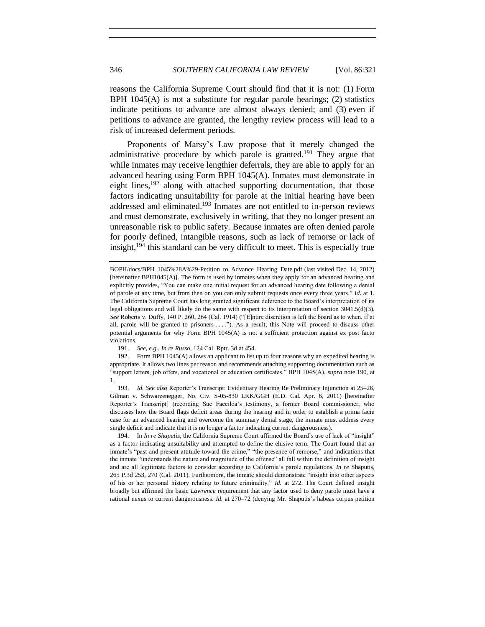reasons the California Supreme Court should find that it is not: (1) Form BPH 1045(A) is not a substitute for regular parole hearings; (2) statistics indicate petitions to advance are almost always denied; and (3) even if petitions to advance are granted, the lengthy review process will lead to a risk of increased deferment periods.

<span id="page-25-0"></span>Proponents of Marsy's Law propose that it merely changed the administrative procedure by which parole is granted.<sup>191</sup> They argue that while inmates may receive lengthier deferrals, they are able to apply for an advanced hearing using Form BPH 1045(A). Inmates must demonstrate in eight lines,<sup>192</sup> along with attached supporting documentation, that those factors indicating unsuitability for parole at the initial hearing have been addressed and eliminated.<sup>193</sup> Inmates are not entitled to in-person reviews and must demonstrate, exclusively in writing, that they no longer present an unreasonable risk to public safety. Because inmates are often denied parole for poorly defined, intangible reasons, such as lack of remorse or lack of insight, $194$  this standard can be very difficult to meet. This is especially true

191. *See, e.g.*, *In re Russo*, 124 Cal. Rptr. 3d at 454.

192. Form BPH 1045(A) allows an applicant to list up to four reasons why an expedited hearing is appropriate. It allows two lines per reason and recommends attaching supporting documentation such as "support letters, job offers, and vocational or education certificates." BPH 1045(A), *supra* note [190,](#page-24-0) at 1.

193. *Id. See also* Reporter's Transcript: Evidentiary Hearing Re Preliminary Injunction at 25–28, Gilman v. Schwarzenegger, No. Civ. S-05-830 LKK/GGH (E.D. Cal. Apr. 6, 2011) [hereinafter Reporter's Transcript] (recording Sue Facciloa's testimony, a former Board commissioner, who discusses how the Board flags deficit areas during the hearing and in order to establish a prima facie case for an advanced hearing and overcome the summary denial stage, the inmate must address every single deficit and indicate that it is no longer a factor indicating current dangerousness).

194. In *In re Shaputis*, the California Supreme Court affirmed the Board's use of lack of "insight" as a factor indicating unsuitability and attempted to define the elusive term. The Court found that an inmate's "past and present attitude toward the crime," "the presence of remorse," and indications that the inmate "understands the nature and magnitude of the offense" all fall within the definition of insight and are all legitimate factors to consider according to California's parole regulations. *In re* Shaputis, 265 P.3d 253, 270 (Cal. 2011). Furthermore, the inmate should demonstrate "insight into other aspects of his or her personal history relating to future criminality." *Id.* at 272. The Court defined insight broadly but affirmed the basic *Lawrence* requirement that any factor used to deny parole must have a rational nexus to current dangerousness. *Id.* at 270–72 (denying Mr. Shaputis's habeas corpus petition

BOPH/docs/BPH\_1045%28A%29-Petition\_to\_Advance\_Hearing\_Date.pdf (last visited Dec. 14, 2012) [hereinafter BPH1045(A)]. The form is used by inmates when they apply for an advanced hearing and explicitly provides, "You can make one initial request for an advanced hearing date following a denial of parole at any time, but from then on you can only submit requests once every three years." *[Id](../../Downloads/Id)*. at 1. The California Supreme Court has long granted significant deference to the Board's interpretation of its legal obligations and will likely do the same with respect to its interpretation of section 3041.5(d)(3). *See* Roberts v. Duffy, 140 P. 260, 264 (Cal. 1914) ("[E]ntire discretion is left the board as to when, if at all, parole will be granted to prisoners . . . ."). As a result, this Note will proceed to discuss other potential arguments for why Form BPH 1045(A) is not a sufficient protection against ex post facto violations.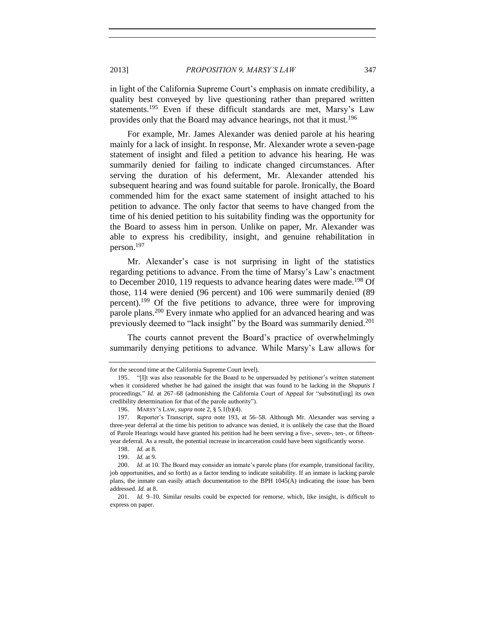in light of the California Supreme Court's emphasis on inmate credibility, a quality best conveyed by live questioning rather than prepared written statements.<sup>195</sup> Even if these difficult standards are met, Marsy's Law provides only that the Board may advance hearings, not that it must.<sup>196</sup>

For example, Mr. James Alexander was denied parole at his hearing mainly for a lack of insight. In response, Mr. Alexander wrote a seven-page statement of insight and filed a petition to advance his hearing. He was summarily denied for failing to indicate changed circumstances. After serving the duration of his deferment, Mr. Alexander attended his subsequent hearing and was found suitable for parole. Ironically, the Board commended him for the exact same statement of insight attached to his petition to advance. The only factor that seems to have changed from the time of his denied petition to his suitability finding was the opportunity for the Board to assess him in person. Unlike on paper, Mr. Alexander was able to express his credibility, insight, and genuine rehabilitation in person.<sup>197</sup>

Mr. Alexander's case is not surprising in light of the statistics regarding petitions to advance. From the time of Marsy's Law's enactment to December 2010, 119 requests to advance hearing dates were made.<sup>198</sup> Of those, 114 were denied (96 percent) and 106 were summarily denied (89 percent).<sup>199</sup> Of the five petitions to advance, three were for improving parole plans.<sup>200</sup> Every inmate who applied for an advanced hearing and was previously deemed to "lack insight" by the Board was summarily denied.<sup>201</sup>

The courts cannot prevent the Board's practice of overwhelmingly summarily denying petitions to advance. While Marsy's Law allows for

for the second time at the California Supreme Court level).

<sup>195.</sup> "[I]t was also reasonable for the Board to be unpersuaded by petitioner's written statement when it considered whether he had gained the insight that was found to be lacking in the *Shaputis I* proceedings." *Id.* at 267–68 (admonishing the California Court of Appeal for "substitut [ing] its own credibility determination for that of the parole authority").

<sup>196.</sup> MARSY'S LAW, *supra* not[e 2,](#page-0-1) § 5.1(b)(4).

<sup>197.</sup> Reporter's Transcript, *supra* note [193,](#page-25-0) at 56–58. Although Mr. Alexander was serving a three-year deferral at the time his petition to advance was denied, it is unlikely the case that the Board of Parole Hearings would have granted his petition had he been serving a five-, seven-, ten-, or fifteenyear deferral. As a result, the potential increase in incarceration could have been significantly worse.

<sup>198.</sup> *Id.* at 8.

<sup>199.</sup> *Id.* at 9.

<sup>200.</sup> *Id.* at 10. The Board may consider an inmate's parole plans (for example, transitional facility, job opportunities, and so forth) as a factor tending to indicate suitability. If an inmate is lacking parole plans, the inmate can easily attach documentation to the BPH  $1045(A)$  indicating the issue has been addressed. *Id.* at 8.

<sup>201.</sup> *Id.* 9–10. Similar results could be expected for remorse, which, like insight, is difficult to express on paper.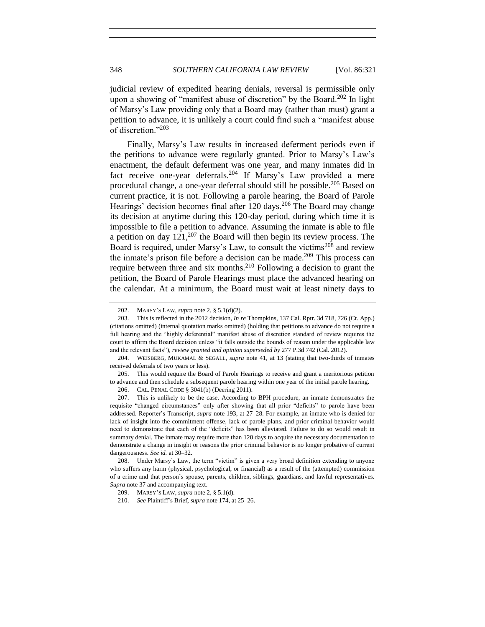judicial review of expedited hearing denials, reversal is permissible only upon a showing of "manifest abuse of discretion" by the Board.<sup>202</sup> In light of Marsy's Law providing only that a Board may (rather than must) grant a petition to advance, it is unlikely a court could find such a "manifest abuse of discretion."<sup>203</sup>

Finally, Marsy's Law results in increased deferment periods even if the petitions to advance were regularly granted. Prior to Marsy's Law's enactment, the default deferment was one year, and many inmates did in fact receive one-year deferrals.<sup>204</sup> If Marsy's Law provided a mere procedural change, a one-year deferral should still be possible.<sup>205</sup> Based on current practice, it is not. Following a parole hearing, the Board of Parole Hearings' decision becomes final after 120 days.<sup>206</sup> The Board may change its decision at anytime during this 120-day period, during which time it is impossible to file a petition to advance. Assuming the inmate is able to file a petition on day  $121<sup>207</sup>$  the Board will then begin its review process. The Board is required, under Marsy's Law, to consult the victims<sup>208</sup> and review the inmate's prison file before a decision can be made.<sup>209</sup> This process can require between three and six months.<sup>210</sup> Following a decision to grant the petition, the Board of Parole Hearings must place the advanced hearing on the calendar. At a minimum, the Board must wait at least ninety days to

<sup>202.</sup> MARSY'S LAW, *supra* not[e 2,](#page-0-1) § 5.1(d)(2).

<sup>203.</sup> This is reflected in the 2012 decision, *In re* Thompkins, 137 Cal. Rptr. 3d 718, 726 (Ct. App.) (citations omitted) (internal quotation marks omitted) (holding that petitions to advance do not require a full hearing and the "highly deferential" manifest abuse of discretion standard of review requires the court to affirm the Board decision unless "it falls outside the bounds of reason under the applicable law and the relevant facts"), *review granted and opinion superseded by* 277 P.3d 742 (Cal. 2012).

<sup>204.</sup> WEISBERG, MUKAMAL & SEGALL, *supra* note [41,](#page-5-0) at 13 (stating that two-thirds of inmates received deferrals of two years or less).

<sup>205.</sup> This would require the Board of Parole Hearings to receive and grant a meritorious petition to advance and then schedule a subsequent parole hearing within one year of the initial parole hearing.

<sup>206.</sup> CAL. PENAL CODE § 3041(b) (Deering 2011).

<sup>207.</sup> This is unlikely to be the case. According to BPH procedure, an inmate demonstrates the requisite "changed circumstances" only after showing that all prior "deficits" to parole have been addressed. Reporter's Transcript, *supra* note [193,](#page-25-0) at 27–28. For example, an inmate who is denied for lack of insight into the commitment offense, lack of parole plans, and prior criminal behavior would need to demonstrate that each of the "deficits" has been alleviated. Failure to do so would result in summary denial. The inmate may require more than 120 days to acquire the necessary documentation to demonstrate a change in insight or reasons the prior criminal behavior is no longer probative of current dangerousness. *See id.* at 30–32.

<sup>208.</sup> Under Marsy's Law, the term "victim" is given a very broad definition extending to anyone who suffers any harm (physical, psychological, or financial) as a result of the (attempted) commission of a crime and that person's spouse, parents, children, siblings, guardians, and lawful representatives. *Supra* note [37](#page-4-1) and accompanying text.

<sup>209.</sup> MARSY'S LAW, *supra* not[e 2,](#page-0-1) § 5.1(d).

<sup>210.</sup> *See* Plaintiff's Brief, *supra* not[e 174,](#page-22-0) at 25–26.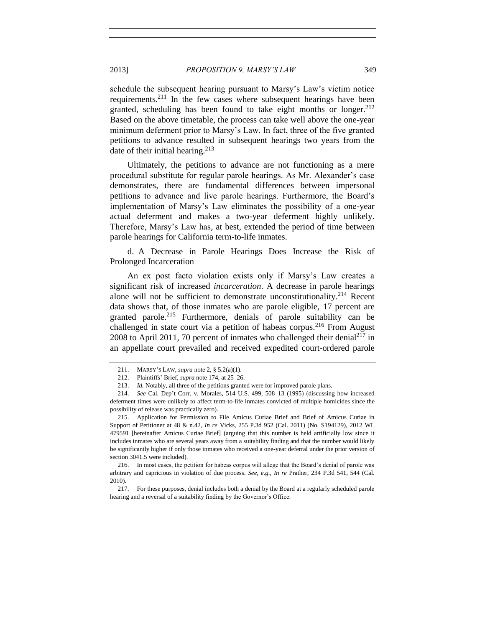schedule the subsequent hearing pursuant to Marsy's Law's victim notice requirements.<sup>211</sup> In the few cases where subsequent hearings have been granted, scheduling has been found to take eight months or longer. $2^{12}$ Based on the above timetable, the process can take well above the one-year minimum deferment prior to Marsy's Law. In fact, three of the five granted petitions to advance resulted in subsequent hearings two years from the date of their initial hearing.<sup>213</sup>

<span id="page-28-1"></span>Ultimately, the petitions to advance are not functioning as a mere procedural substitute for regular parole hearings. As Mr. Alexander's case demonstrates, there are fundamental differences between impersonal petitions to advance and live parole hearings. Furthermore, the Board's implementation of Marsy's Law eliminates the possibility of a one-year actual deferment and makes a two-year deferment highly unlikely. Therefore, Marsy's Law has, at best, extended the period of time between parole hearings for California term-to-life inmates.

d. A Decrease in Parole Hearings Does Increase the Risk of Prolonged Incarceration

<span id="page-28-0"></span>An ex post facto violation exists only if Marsy's Law creates a significant risk of increased *incarceration*. A decrease in parole hearings alone will not be sufficient to demonstrate unconstitutionality.<sup>214</sup> Recent data shows that, of those inmates who are parole eligible, 17 percent are granted parole.<sup>215</sup> Furthermore, denials of parole suitability can be challenged in state court via a petition of habeas corpus.<sup>216</sup> From August 2008 to April 2011, 70 percent of inmates who challenged their denial<sup>217</sup> in an appellate court prevailed and received expedited court-ordered parole

<sup>211.</sup> MARSY'S LAW, *supra* not[e 2,](#page-0-1) § 5.2(a)(1).

<sup>212.</sup> Plaintiffs' Brief, *supra* not[e 174,](#page-22-0) at 25–26.

<sup>213.</sup> *Id.* Notably, all three of the petitions granted were for improved parole plans.

<sup>214.</sup> *See* Cal. Dep't Corr. v. Morales, 514 U.S. 499, 508–13 (1995) (discussing how increased deferment times were unlikely to affect term-to-life inmates convicted of multiple homicides since the possibility of release was practically zero).

<sup>215.</sup> Application for Permission to File Amicus Curiae Brief and Brief of Amicus Curiae in Support of Petitioner at 48 & n.42, *In re* Vicks, 255 P.3d 952 (Cal. 2011) (No. S194129), 2012 WL 479591 [hereinafter Amicus Curiae Brief] (arguing that this number is held artificially low since it includes inmates who are several years away from a suitability finding and that the number would likely be significantly higher if only those inmates who received a one-year deferral under the prior version of section 3041.5 were included).

<sup>216.</sup> In most cases, the petition for habeas corpus will allege that the Board's denial of parole was arbitrary and capricious in violation of due process. *See*, *e.g.*, *In re* Prather, 234 P.3d 541, 544 (Cal. 2010).

<sup>217.</sup> For these purposes, denial includes both a denial by the Board at a regularly scheduled parole hearing and a reversal of a suitability finding by the Governor's Office.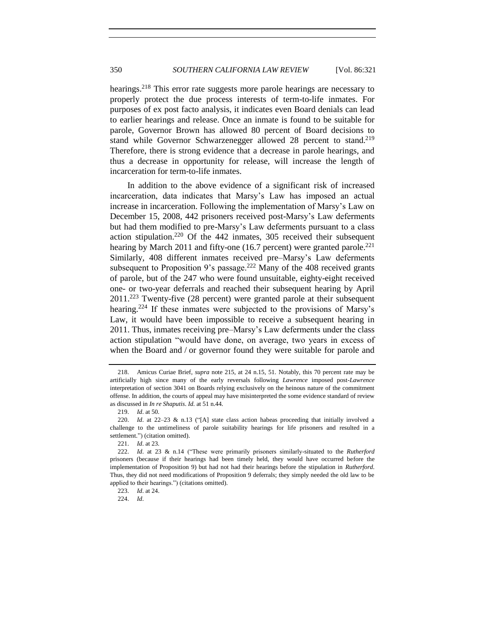hearings.<sup>218</sup> This error rate suggests more parole hearings are necessary to properly protect the due process interests of term-to-life inmates. For purposes of ex post facto analysis, it indicates even Board denials can lead to earlier hearings and release. Once an inmate is found to be suitable for parole, Governor Brown has allowed 80 percent of Board decisions to stand while Governor Schwarzenegger allowed 28 percent to stand.<sup>219</sup> Therefore, there is strong evidence that a decrease in parole hearings, and thus a decrease in opportunity for release, will increase the length of incarceration for term-to-life inmates.

In addition to the above evidence of a significant risk of increased incarceration, data indicates that Marsy's Law has imposed an actual increase in incarceration. Following the implementation of Marsy's Law on December 15, 2008, 442 prisoners received post-Marsy's Law deferments but had them modified to pre-Marsy's Law deferments pursuant to a class action stipulation.<sup>220</sup> Of the 442 inmates, 305 received their subsequent hearing by March 2011 and fifty-one (16.7 percent) were granted parole.<sup>221</sup> Similarly, 408 different inmates received pre–Marsy's Law deferments subsequent to Proposition 9's passage.<sup>222</sup> Many of the 408 received grants of parole, but of the 247 who were found unsuitable, eighty-eight received one- or two-year deferrals and reached their subsequent hearing by April 2011.<sup>223</sup> Twenty-five (28 percent) were granted parole at their subsequent hearing.<sup>224</sup> If these inmates were subjected to the provisions of Marsy's Law, it would have been impossible to receive a subsequent hearing in 2011. Thus, inmates receiving pre–Marsy's Law deferments under the class action stipulation "would have done, on average, two years in excess of when the Board and / or governor found they were suitable for parole and

<sup>218.</sup> Amicus Curiae Brief, *supra* note [215,](#page-28-0) at 24 n.15, 51. Notably, this 70 percent rate may be artificially high since many of the early reversals following *Lawrence* imposed post-*Lawrence* interpretation of section 3041 on Boards relying exclusively on the heinous nature of the commitment offense. In addition, the courts of appeal may have misinterpreted the some evidence standard of review as discussed in *In re Shaputis*. *Id.* at 51 n.44.

<sup>219.</sup> *Id*. at 50.

<sup>220.</sup> *Id*. at 22–23 & n.13 ("[A] state class action habeas proceeding that initially involved a challenge to the untimeliness of parole suitability hearings for life prisoners and resulted in a settlement.") (citation omitted).

<sup>221.</sup> *Id*. at 23.

<sup>222.</sup> *Id*. at 23 & n.14 ("These were primarily prisoners similarly-situated to the *Rutherford* prisoners (because if their hearings had been timely held, they would have occurred before the implementation of Proposition 9) but had not had their hearings before the stipulation in *Rutherford*. Thus, they did not need modifications of Proposition 9 deferrals; they simply needed the old law to be applied to their hearings.") (citations omitted).

<sup>223.</sup> *Id*. at 24.

<sup>224.</sup> *Id*.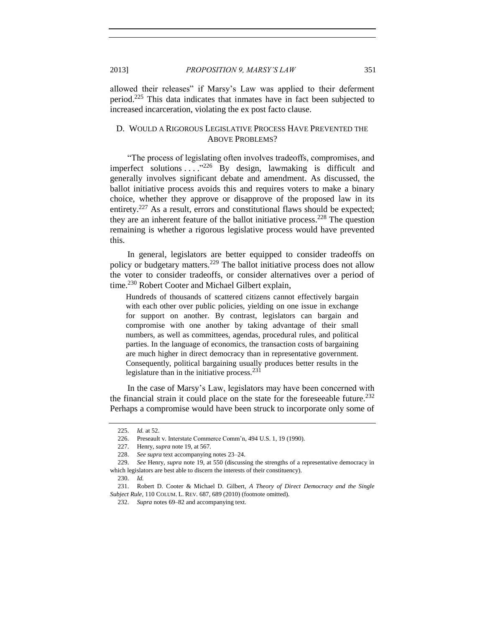allowed their releases" if Marsy's Law was applied to their deferment period.<sup>225</sup> This data indicates that inmates have in fact been subjected to increased incarceration, violating the ex post facto clause.

# D. WOULD A RIGOROUS LEGISLATIVE PROCESS HAVE PREVENTED THE ABOVE PROBLEMS?

"The process of legislating often involves tradeoffs, compromises, and imperfect solutions  $\dots$ <sup>226</sup> By design, lawmaking is difficult and generally involves significant debate and amendment. As discussed, the ballot initiative process avoids this and requires voters to make a binary choice, whether they approve or disapprove of the proposed law in its entirety.<sup>227</sup> As a result, errors and constitutional flaws should be expected; they are an inherent feature of the ballot initiative process.<sup>228</sup> The question remaining is whether a rigorous legislative process would have prevented this.

In general, legislators are better equipped to consider tradeoffs on policy or budgetary matters.<sup>229</sup> The ballot initiative process does not allow the voter to consider tradeoffs, or consider alternatives over a period of time.<sup>230</sup> Robert Cooter and Michael Gilbert explain,

Hundreds of thousands of scattered citizens cannot effectively bargain with each other over public policies, yielding on one issue in exchange for support on another. By contrast, legislators can bargain and compromise with one another by taking advantage of their small numbers, as well as committees, agendas, procedural rules, and political parties. In the language of economics, the transaction costs of bargaining are much higher in direct democracy than in representative government. Consequently, political bargaining usually produces better results in the legislature than in the initiative process.  $231$ 

<span id="page-30-0"></span>In the case of Marsy's Law, legislators may have been concerned with the financial strain it could place on the state for the foreseeable future.<sup>232</sup> Perhaps a compromise would have been struck to incorporate only some of

<sup>225.</sup> *Id.* at 52.

<sup>226.</sup> Preseault v. Interstate Commerce Comm'n, 494 U.S. 1, 19 (1990).

<sup>227.</sup> Henry, *supra* not[e 19,](#page-2-1) at 567.

<sup>228.</sup> *See supra* text accompanying notes [23–](#page-2-2)[24.](#page-3-1)

<sup>229.</sup> *See* Henry, *supra* note [19,](#page-2-1) at 550 (discussing the strengths of a representative democracy in which legislators are best able to discern the interests of their constituency).

<sup>230.</sup> *Id.*

<sup>231.</sup> Robert D. Cooter & Michael D. Gilbert, *A Theory of Direct Democracy and the Single Subject Rule*, 110 COLUM. L. REV. 687, 689 (2010) (footnote omitted).

<sup>232.</sup> *Supra* notes [69–](#page-8-1)[82](#page-9-1) and accompanying text.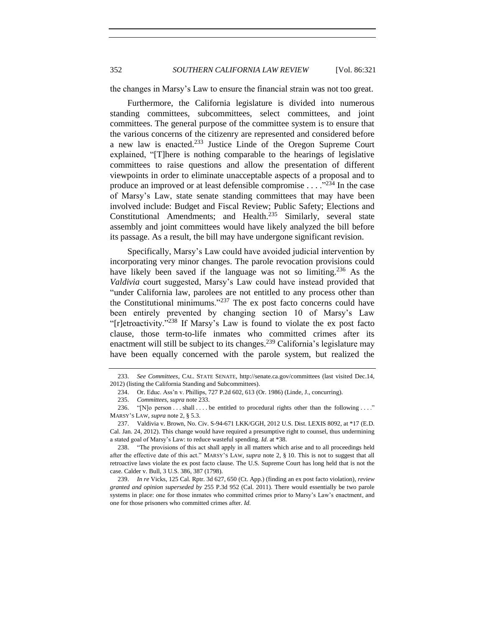352 *SOUTHERN CALIFORNIA LAW REVIEW* [Vol. 86:321

the changes in Marsy's Law to ensure the financial strain was not too great.

<span id="page-31-0"></span>Furthermore, the California legislature is divided into numerous standing committees, subcommittees, select committees, and joint committees. The general purpose of the committee system is to ensure that the various concerns of the citizenry are represented and considered before a new law is enacted.<sup>233</sup> Justice Linde of the Oregon Supreme Court explained, "[T]here is nothing comparable to the hearings of legislative committees to raise questions and allow the presentation of different viewpoints in order to eliminate unacceptable aspects of a proposal and to produce an improved or at least defensible compromise  $\ldots$ .  $^{234}$  In the case of Marsy's Law, state senate standing committees that may have been involved include: Budget and Fiscal Review; Public Safety; Elections and Constitutional Amendments; and Health.<sup>235</sup> Similarly, several state assembly and joint committees would have likely analyzed the bill before its passage. As a result, the bill may have undergone significant revision.

Specifically, Marsy's Law could have avoided judicial intervention by incorporating very minor changes. The parole revocation provisions could have likely been saved if the language was not so limiting.<sup>236</sup> As the *Valdivia* court suggested, Marsy's Law could have instead provided that "under California law, parolees are not entitled to any process other than the Constitutional minimums."<sup>237</sup> The ex post facto concerns could have been entirely prevented by changing section 10 of Marsy's Law "[r]etroactivity."<sup>238</sup> If Marsy's Law is found to violate the ex post facto clause, those term-to-life inmates who committed crimes after its enactment will still be subject to its changes.<sup>239</sup> California's legislature may have been equally concerned with the parole system, but realized the

<sup>233.</sup> *See Committees*, CAL. STATE SENATE, http://senate.ca.gov/committees (last visited Dec.14, 2012) (listing the California Standing and Subcommittees).

<sup>234.</sup> Or. Educ. Ass'n v. Phillips, 727 P.2d 602, 613 (Or. 1986) (Linde, J., concurring).

<sup>235.</sup> *Committees*, *supra* note [233.](#page-31-0)

<sup>236. &</sup>quot;[N]o person . . . shall . . . . be entitled to procedural rights other than the following . . . ." MARSY'S LAW, *supra* not[e 2,](#page-0-1) § 5.3.

<sup>237.</sup> Valdivia v. Brown, No. Civ. S-94-671 LKK/GGH, 2012 U.S. Dist. LEXIS 8092, at \*17 (E.D. Cal. Jan. 24, 2012). This change would have required a presumptive right to counsel, thus undermining a stated goal of Marsy's Law: to reduce wasteful spending. *Id.* at \*38.

<sup>238.</sup> "The provisions of this act shall apply in all matters which arise and to all proceedings held after the effective date of this act." MARSY'S LAW, *supra* not[e 2,](#page-0-1) § 10. This is not to suggest that all retroactive laws violate the ex post facto clause. The U.S. Supreme Court has long held that is not the case. Calder v. Bull, 3 U.S. 386, 387 (1798).

<sup>239.</sup> *In re* Vicks, 125 Cal. Rptr. 3d 627, 650 (Ct. App.) (finding an ex post facto violation), *review granted and opinion superseded by* 255 P.3d 952 (Cal. 2011). There would essentially be two parole systems in place: one for those inmates who committed crimes prior to Marsy's Law's enactment, and one for those prisoners who committed crimes after. *Id*.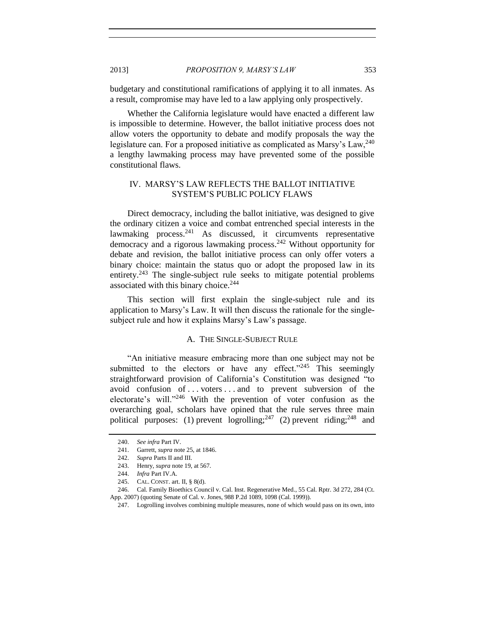budgetary and constitutional ramifications of applying it to all inmates. As a result, compromise may have led to a law applying only prospectively.

Whether the California legislature would have enacted a different law is impossible to determine. However, the ballot initiative process does not allow voters the opportunity to debate and modify proposals the way the legislature can. For a proposed initiative as complicated as Marsy's Law,  $240$ a lengthy lawmaking process may have prevented some of the possible constitutional flaws.

# IV. MARSY'S LAW REFLECTS THE BALLOT INITIATIVE SYSTEM'S PUBLIC POLICY FLAWS

Direct democracy, including the ballot initiative, was designed to give the ordinary citizen a voice and combat entrenched special interests in the lawmaking process. $241$  As discussed, it circumvents representative democracy and a rigorous lawmaking process.<sup>242</sup> Without opportunity for debate and revision, the ballot initiative process can only offer voters a binary choice: maintain the status quo or adopt the proposed law in its entirety.<sup>243</sup> The single-subject rule seeks to mitigate potential problems associated with this binary choice.<sup>244</sup>

This section will first explain the single-subject rule and its application to Marsy's Law. It will then discuss the rationale for the singlesubject rule and how it explains Marsy's Law's passage.

#### A. THE SINGLE-SUBJECT RULE

"An initiative measure embracing more than one subject may not be submitted to the electors or have any effect." $245$  This seemingly straightforward provision of California's Constitution was designed "to avoid confusion of . . . voters . . . and to prevent subversion of the electorate's will."<sup>246</sup> With the prevention of voter confusion as the overarching goal, scholars have opined that the rule serves three main political purposes: (1) prevent logrolling;<sup>247</sup> (2) prevent riding;<sup>248</sup> and

<sup>240.</sup> *See infra* Part IV.

<sup>241.</sup> Garrett, *supra* not[e 25,](#page-3-2) at 1846.

<sup>242.</sup> *Supra* Parts II and III.

<sup>243.</sup> Henry, *supra* not[e 19,](#page-2-1) at 567.

<sup>244.</sup> *Infra* Part IV.A.

<sup>245.</sup> CAL. CONST. art. II, § 8(d).

<sup>246.</sup> Cal. Family Bioethics Council v. Cal. Inst. Regenerative Med., 55 Cal. Rptr. 3d 272, 284 (Ct. App. 2007) (quoting Senate of Cal. v. Jones, 988 P.2d 1089, 1098 (Cal. 1999)).

<sup>247.</sup> Logrolling involves combining multiple measures, none of which would pass on its own, into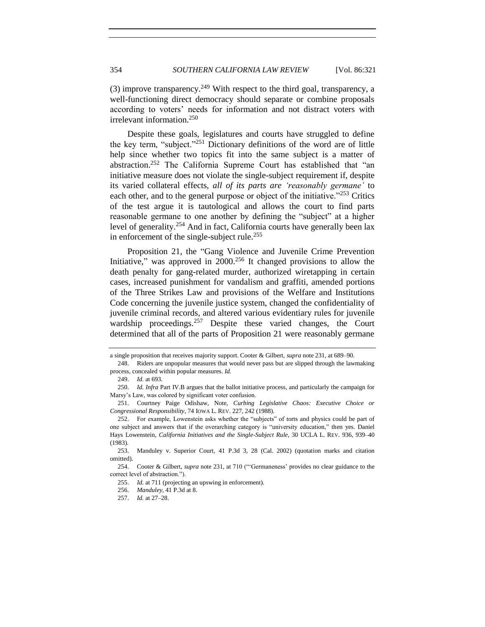(3) improve transparency.<sup>249</sup> With respect to the third goal, transparency, a well-functioning direct democracy should separate or combine proposals according to voters' needs for information and not distract voters with irrelevant information.<sup>250</sup>

Despite these goals, legislatures and courts have struggled to define the key term, "subject."<sup>251</sup> Dictionary definitions of the word are of little help since whether two topics fit into the same subject is a matter of abstraction.<sup>252</sup> The California Supreme Court has established that "an initiative measure does not violate the single-subject requirement if, despite its varied collateral effects, *all of its parts are 'reasonably germane'* to each other, and to the general purpose or object of the initiative."<sup>253</sup> Critics of the test argue it is tautological and allows the court to find parts reasonable germane to one another by defining the "subject" at a higher level of generality.<sup>254</sup> And in fact, California courts have generally been lax in enforcement of the single-subject rule.<sup>255</sup>

Proposition 21, the "Gang Violence and Juvenile Crime Prevention Initiative," was approved in  $2000<sup>256</sup>$  It changed provisions to allow the death penalty for gang-related murder, authorized wiretapping in certain cases, increased punishment for vandalism and graffiti, amended portions of the Three Strikes Law and provisions of the Welfare and Institutions Code concerning the juvenile justice system, changed the confidentiality of juvenile criminal records, and altered various evidentiary rules for juvenile wardship proceedings.<sup>257</sup> Despite these varied changes, the Court determined that all of the parts of Proposition 21 were reasonably germane

a single proposition that receives majority support. Cooter & Gilbert, *supra* not[e 231,](#page-30-0) at 689–90.

<sup>248.</sup> Riders are unpopular measures that would never pass but are slipped through the lawmaking process, concealed within popular measures. *Id.*

<sup>249.</sup> *Id.* at 693.

<sup>250.</sup> *Id. Infra* Part IV.B argues that the ballot initiative process, and particularly the campaign for Marsy's Law, was colored by significant voter confusion.

<sup>251.</sup> Courtney Paige Odishaw, Note, *Curbing Legislative Chaos: Executive Choice or Congressional Responsibility*, 74 IOWA L. REV. 227, 242 (1988).

<sup>252.</sup> For example, Lowenstein asks whether the "subjects" of torts and physics could be part of one subject and answers that if the overarching category is "university education," then yes. Daniel Hays Lowenstein, *California Initiatives and the Single-Subject Rule*, 30 UCLA L. REV. 936, 939–40 (1983).

<sup>253.</sup> Manduley v. Superior Court, 41 P.3d 3, 28 (Cal. 2002) (quotation marks and citation omitted).

<sup>254.</sup> Cooter & Gilbert, *supra* note [231,](#page-30-0) at 710 ("'Germaneness' provides no clear guidance to the correct level of abstraction.").

<sup>255.</sup> *Id.* at 711 (projecting an upswing in enforcement).

<sup>256.</sup> *Manduley*, 41 P.3d at 8.

<sup>257.</sup> *Id.* at 27–28.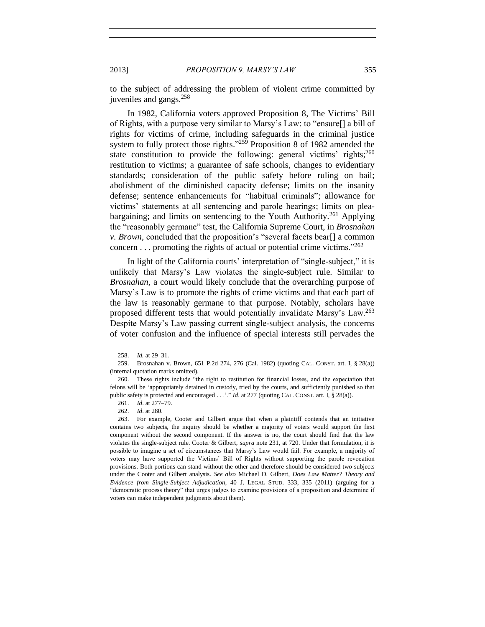<span id="page-34-0"></span>

to the subject of addressing the problem of violent crime committed by juveniles and gangs.<sup>258</sup>

In 1982, California voters approved Proposition 8, The Victims' Bill of Rights, with a purpose very similar to Marsy's Law: to "ensure[] a bill of rights for victims of crime, including safeguards in the criminal justice system to fully protect those rights."<sup>259</sup> Proposition 8 of 1982 amended the state constitution to provide the following: general victims' rights;<sup>260</sup> restitution to victims; a guarantee of safe schools, changes to evidentiary standards; consideration of the public safety before ruling on bail; abolishment of the diminished capacity defense; limits on the insanity defense; sentence enhancements for "habitual criminals"; allowance for victims' statements at all sentencing and parole hearings; limits on pleabargaining; and limits on sentencing to the Youth Authority.<sup>261</sup> Applying the "reasonably germane" test, the California Supreme Court, in *Brosnahan v. Brown*, concluded that the proposition's "several facets bear[] a common concern  $\dots$  promoting the rights of actual or potential crime victims."<sup>262</sup>

In light of the California courts' interpretation of "single-subject," it is unlikely that Marsy's Law violates the single-subject rule. Similar to *Brosnahan*, a court would likely conclude that the overarching purpose of Marsy's Law is to promote the rights of crime victims and that each part of the law is reasonably germane to that purpose. Notably, scholars have proposed different tests that would potentially invalidate Marsy's Law.<sup>263</sup> Despite Marsy's Law passing current single-subject analysis, the concerns of voter confusion and the influence of special interests still pervades the

<span id="page-34-1"></span>

<sup>258.</sup> *Id.* at 29–31.

<sup>259.</sup> Brosnahan v. Brown, 651 P.2d 274, 276 (Cal. 1982) (quoting CAL. CONST. art. I, § 28(a)) (internal quotation marks omitted).

<sup>260.</sup> These rights include "the right to restitution for financial losses, and the expectation that felons will be 'appropriately detained in custody, tried by the courts, and sufficiently punished so that public safety is protected and encouraged . . .'." *Id*. at 277 (quoting CAL. CONST. art. I, § 28(a)).

<sup>261.</sup> *Id*. at 277–79.

<sup>262.</sup> *Id*. at 280.

<sup>263.</sup> For example, Cooter and Gilbert argue that when a plaintiff contends that an initiative contains two subjects, the inquiry should be whether a majority of voters would support the first component without the second component. If the answer is no, the court should find that the law violates the single-subject rule. Cooter & Gilbert, *supra* note [231,](#page-30-0) at 720. Under that formulation, it is possible to imagine a set of circumstances that Marsy's Law would fail. For example, a majority of voters may have supported the Victims' Bill of Rights without supporting the parole revocation provisions. Both portions can stand without the other and therefore should be considered two subjects under the Cooter and Gilbert analysis. *See also* Michael D. Gilbert, *Does Law Matter? Theory and Evidence from Single-Subject Adjudication*, 40 J. LEGAL STUD. 333, 335 (2011) (arguing for a "democratic process theory" that urges judges to examine provisions of a proposition and determine if voters can make independent judgments about them).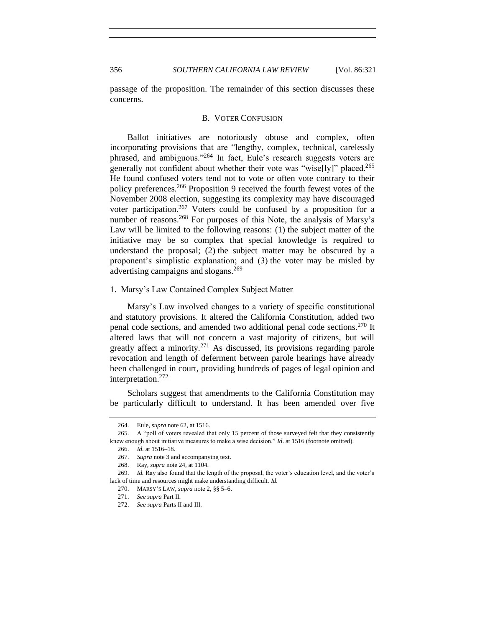passage of the proposition. The remainder of this section discusses these concerns.

#### B. VOTER CONFUSION

Ballot initiatives are notoriously obtuse and complex, often incorporating provisions that are "lengthy, complex, technical, carelessly phrased, and ambiguous."<sup>264</sup> In fact, Eule's research suggests voters are generally not confident about whether their vote was "wise[ly]" placed.<sup>265</sup> He found confused voters tend not to vote or often vote contrary to their policy preferences.<sup>266</sup> Proposition 9 received the fourth fewest votes of the November 2008 election, suggesting its complexity may have discouraged voter participation.<sup>267</sup> Voters could be confused by a proposition for a number of reasons.<sup>268</sup> For purposes of this Note, the analysis of Marsy's Law will be limited to the following reasons: (1) the subject matter of the initiative may be so complex that special knowledge is required to understand the proposal; (2) the subject matter may be obscured by a proponent's simplistic explanation; and (3) the voter may be misled by advertising campaigns and slogans.<sup>269</sup>

#### 1. Marsy's Law Contained Complex Subject Matter

Marsy's Law involved changes to a variety of specific constitutional and statutory provisions. It altered the California Constitution, added two penal code sections, and amended two additional penal code sections.<sup>270</sup> It altered laws that will not concern a vast majority of citizens, but will greatly affect a minority.<sup>271</sup> As discussed, its provisions regarding parole revocation and length of deferment between parole hearings have already been challenged in court, providing hundreds of pages of legal opinion and interpretation.<sup>272</sup>

Scholars suggest that amendments to the California Constitution may be particularly difficult to understand. It has been amended over five

<sup>264.</sup> Eule, *supra* not[e 62,](#page-7-0) at 1516.

<sup>265.</sup> A "poll of voters revealed that only 15 percent of those surveyed felt that they consistently knew enough about initiative measures to make a wise decision." *Id*. at 1516 (footnote omitted).

<sup>266.</sup> *Id.* at 1516–18.

<sup>267.</sup> *Supra* note [3](#page-0-2) and accompanying text.

<sup>268.</sup> Ray, *supra* note [24,](#page-3-1) at 1104.

<sup>269.</sup> *Id.* Ray also found that the length of the proposal, the voter's education level, and the voter's lack of time and resources might make understanding difficult. *Id.*

<sup>270.</sup> MARSY'S LAW, *supra* not[e 2,](#page-0-1) §§ 5–6.

<sup>271.</sup> *See supra* Part II.

<sup>272.</sup> *See supra* Parts II and III.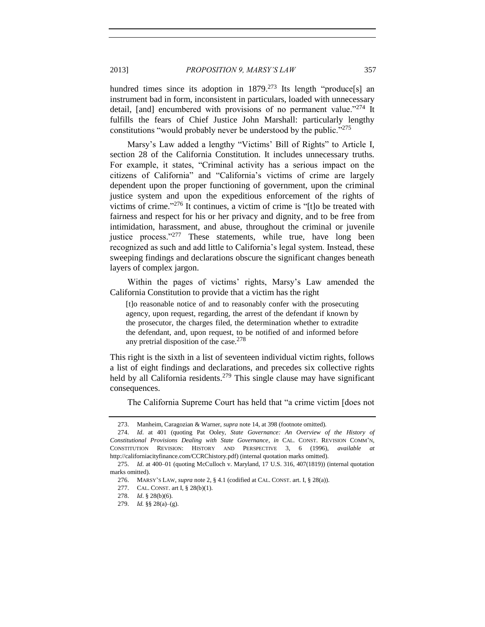2013] *PROPOSITION 9, MARSY'S LAW* 357

hundred times since its adoption in 1879.<sup>273</sup> Its length "produce[s] an instrument bad in form, inconsistent in particulars, loaded with unnecessary detail, [and] encumbered with provisions of no permanent value."<sup>274</sup> It fulfills the fears of Chief Justice John Marshall: particularly lengthy constitutions "would probably never be understood by the public."<sup>275</sup>

Marsy's Law added a lengthy "Victims' Bill of Rights" to Article I, section 28 of the California Constitution. It includes unnecessary truths. For example, it states, "Criminal activity has a serious impact on the citizens of California" and "California's victims of crime are largely dependent upon the proper functioning of government, upon the criminal justice system and upon the expeditious enforcement of the rights of victims of crime." <sup>276</sup> It continues, a victim of crime is "[t]o be treated with fairness and respect for his or her privacy and dignity, and to be free from intimidation, harassment, and abuse, throughout the criminal or juvenile justice process."<sup>277</sup> These statements, while true, have long been recognized as such and add little to California's legal system. Instead, these sweeping findings and declarations obscure the significant changes beneath layers of complex jargon.

Within the pages of victims' rights, Marsy's Law amended the California Constitution to provide that a victim has the right

[t]o reasonable notice of and to reasonably confer with the prosecuting agency, upon request, regarding, the arrest of the defendant if known by the prosecutor, the charges filed, the determination whether to extradite the defendant, and, upon request, to be notified of and informed before any pretrial disposition of the case. $278$ 

This right is the sixth in a list of seventeen individual victim rights, follows a list of eight findings and declarations, and precedes six collective rights held by all California residents.<sup>279</sup> This single clause may have significant consequences.

The California Supreme Court has held that "a crime victim [does not

<sup>273.</sup> Manheim, Caragozian & Warner, *supra* not[e 14,](#page-1-1) at 398 (footnote omitted).

<sup>274.</sup> *Id*. at 401 (quoting Pat Ooley, *State Governance: An Overview of the History of Constitutional Provisions Dealing with State Governance*, *in* CAL. CONST. REVISION COMM'N, CONSTITUTION REVISION: HISTORY AND PERSPECTIVE 3, 6 (1996), *available at* http://californiacityfinance.com/CCRChistory.pdf) (internal quotation marks omitted).

<sup>275.</sup> *Id*. at 400–01 (quoting McCulloch v. Maryland, 17 U.S. 316, 407(1819)) (internal quotation marks omitted).

<sup>276.</sup> MARSY'S LAW, *supra* not[e 2,](#page-0-1) § 4.1 (codified at CAL. CONST. art. I, § 28(a)).

<sup>277.</sup> CAL. CONST. art I, § 28(b)(1).

<sup>278.</sup> *Id*. § 28(b)(6).

<sup>279.</sup> *Id.* §§ 28(a)–(g).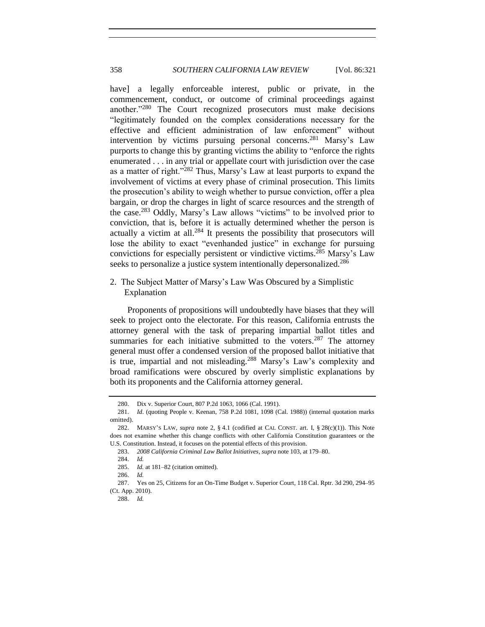<span id="page-37-0"></span>have] a legally enforceable interest, public or private, in the commencement, conduct, or outcome of criminal proceedings against another."<sup>280</sup> The Court recognized prosecutors must make decisions "legitimately founded on the complex considerations necessary for the effective and efficient administration of law enforcement" without intervention by victims pursuing personal concerns.<sup>281</sup> Marsy's Law purports to change this by granting victims the ability to "enforce the rights enumerated . . . in any trial or appellate court with jurisdiction over the case as a matter of right."<sup>282</sup> Thus, Marsy's Law at least purports to expand the involvement of victims at every phase of criminal prosecution. This limits the prosecution's ability to weigh whether to pursue conviction, offer a plea bargain, or drop the charges in light of scarce resources and the strength of the case.<sup>283</sup> Oddly, Marsy's Law allows "victims" to be involved prior to conviction, that is, before it is actually determined whether the person is actually a victim at all. $284$  It presents the possibility that prosecutors will lose the ability to exact "evenhanded justice" in exchange for pursuing convictions for especially persistent or vindictive victims.<sup>285</sup> Marsy's Law seeks to personalize a justice system intentionally depersonalized.<sup>286</sup>

<span id="page-37-1"></span>2. The Subject Matter of Marsy's Law Was Obscured by a Simplistic Explanation

Proponents of propositions will undoubtedly have biases that they will seek to project onto the electorate. For this reason, California entrusts the attorney general with the task of preparing impartial ballot titles and summaries for each initiative submitted to the voters.<sup>287</sup> The attorney general must offer a condensed version of the proposed ballot initiative that is true, impartial and not misleading.<sup>288</sup> Marsy's Law's complexity and broad ramifications were obscured by overly simplistic explanations by both its proponents and the California attorney general.

<sup>280.</sup> Dix v. Superior Court, 807 P.2d 1063, 1066 (Cal. 1991).

<sup>281.</sup> *Id*. (quoting People v. Keenan, 758 P.2d 1081, 1098 (Cal. 1988)) (internal quotation marks omitted).

<sup>282.</sup> MARSY'S LAW, *supra* note [2,](#page-0-1) § 4.1 (codified at CAL CONST. art. I, § 28(c)(1)). This Note does not examine whether this change conflicts with other California Constitution guarantees or the U.S. Constitution. Instead, it focuses on the potential effects of this provision.

<sup>283.</sup> *2008 California Criminal Law Ballot Initiatives*, *supra* not[e 103,](#page-12-1) at 179–80.

<sup>284.</sup> *Id.*

<sup>285.</sup> *Id.* at 181–82 (citation omitted).

<sup>286.</sup> *Id.*

<sup>287.</sup> Yes on 25, Citizens for an On-Time Budget v. Superior Court, 118 Cal. Rptr. 3d 290, 294–95 (Ct. App. 2010).

<sup>288.</sup> *Id.*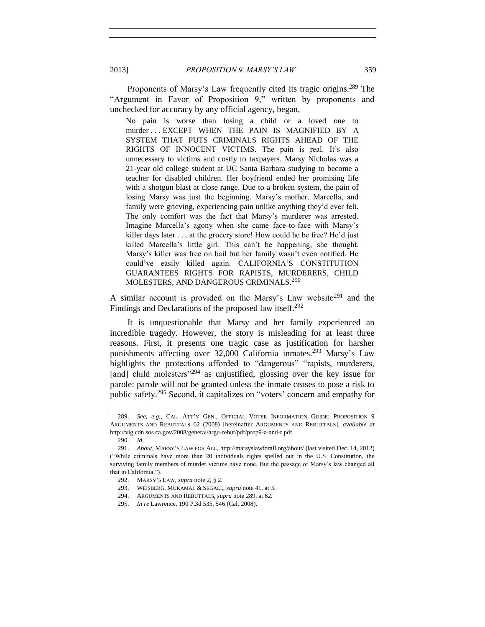Proponents of Marsy's Law frequently cited its tragic origins.<sup>289</sup> The "Argument in Favor of Proposition 9," written by proponents and unchecked for accuracy by any official agency, began,

<span id="page-38-0"></span>No pain is worse than losing a child or a loved one to murder . . . EXCEPT WHEN THE PAIN IS MAGNIFIED BY A SYSTEM THAT PUTS CRIMINALS RIGHTS AHEAD OF THE RIGHTS OF INNOCENT VICTIMS. The pain is real. It's also unnecessary to victims and costly to taxpayers. Marsy Nicholas was a 21-year old college student at UC Santa Barbara studying to become a teacher for disabled children. Her boyfriend ended her promising life with a shotgun blast at close range. Due to a broken system, the pain of losing Marsy was just the beginning. Marsy's mother, Marcella, and family were grieving, experiencing pain unlike anything they'd ever felt. The only comfort was the fact that Marsy's murderer was arrested. Imagine Marcella's agony when she came face-to-face with Marsy's killer days later . . . at the grocery store! How could he be free? He'd just killed Marcella's little girl. This can't be happening, she thought. Marsy's killer was free on bail but her family wasn't even notified. He could've easily killed again. CALIFORNIA'S CONSTITUTION GUARANTEES RIGHTS FOR RAPISTS, MURDERERS, CHILD MOLESTERS, AND DANGEROUS CRIMINALS.<sup>290</sup>

<span id="page-38-1"></span>A similar account is provided on the Marsy's Law website<sup>291</sup> and the Findings and Declarations of the proposed law itself.<sup>292</sup>

It is unquestionable that Marsy and her family experienced an incredible tragedy. However, the story is misleading for at least three reasons. First, it presents one tragic case as justification for harsher punishments affecting over 32,000 California inmates.<sup>293</sup> Marsy's Law highlights the protections afforded to "dangerous" "rapists, murderers, [and] child molesters<sup>"294</sup> as unjustified, glossing over the key issue for parole: parole will not be granted unless the inmate ceases to pose a risk to public safety.<sup>295</sup> Second, it capitalizes on "voters' concern and empathy for

<sup>289.</sup> *See, e.g.*, CAL. ATT'Y GEN., OFFICIAL VOTER INFORMATION GUIDE: PROPOSITION 9 ARGUMENTS AND REBUTTALS 62 (2008) [hereinafter ARGUMENTS AND REBUTTALS], *available at* http://vig.cdn.sos.ca.gov/2008/general/argu-rebut/pdf/prop9-a-and-r.pdf.

<sup>290.</sup> *Id*.

<sup>291.</sup> *About*, MARSY'S LAW FOR ALL, http://marsyslawforall.org/about/ (last visited Dec. 14, 2012) ("While criminals have more than 20 individuals rights spelled out in the U.S. Constitution, the surviving family members of murder victims have none. But the passage of Marsy's law changed all that in California.").

<sup>292.</sup> MARSY'S LAW, *supra* not[e 2,](#page-0-1) § 2.

<sup>293.</sup> WEISBERG, MUKAMAL & SEGALL, *supra* not[e 41,](#page-5-0) at 3.

<sup>294.</sup> ARGUMENTS AND REBUTTALS, *supra* not[e 289,](#page-38-0) at 62.

<sup>295.</sup> *In re* Lawrence, 190 P.3d 535, 546 (Cal. 2008).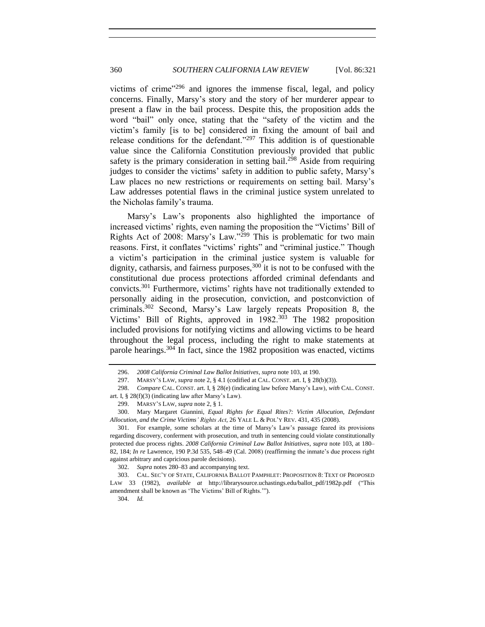victims of crime"<sup>296</sup> and ignores the immense fiscal, legal, and policy concerns. Finally, Marsy's story and the story of her murderer appear to present a flaw in the bail process. Despite this, the proposition adds the word "bail" only once, stating that the "safety of the victim and the victim's family [is to be] considered in fixing the amount of bail and release conditions for the defendant."<sup>297</sup> This addition is of questionable value since the California Constitution previously provided that public safety is the primary consideration in setting bail.<sup>298</sup> Aside from requiring judges to consider the victims' safety in addition to public safety, Marsy's Law places no new restrictions or requirements on setting bail. Marsy's Law addresses potential flaws in the criminal justice system unrelated to the Nicholas family's trauma.

Marsy's Law's proponents also highlighted the importance of increased victims' rights, even naming the proposition the "Victims' Bill of Rights Act of 2008: Marsy's Law."<sup>299</sup> This is problematic for two main reasons. First, it conflates "victims' rights" and "criminal justice." Though a victim's participation in the criminal justice system is valuable for dignity, catharsis, and fairness purposes,  $300$  it is not to be confused with the constitutional due process protections afforded criminal defendants and convicts.<sup>301</sup> Furthermore, victims' rights have not traditionally extended to personally aiding in the prosecution, conviction, and postconviction of criminals.<sup>302</sup> Second, Marsy's Law largely repeats Proposition 8, the Victims' Bill of Rights, approved in 1982.<sup>303</sup> The 1982 proposition included provisions for notifying victims and allowing victims to be heard throughout the legal process, including the right to make statements at parole hearings.<sup>304</sup> In fact, since the 1982 proposition was enacted, victims

304. *Id.*

<sup>296.</sup> *2008 California Criminal Law Ballot Initiatives*, *supra* not[e 103,](#page-12-1) at 190.

<sup>297.</sup> MARSY'S LAW, *supra* not[e 2,](#page-0-1) § 4.1 (codified at CAL. CONST. art. I, § 28(b)(3)).

<sup>298.</sup> *Compare* CAL. CONST. art. I, § 28(e) (indicating law before Marsy's Law), *with* CAL. CONST. art. I, § 28(f)(3) (indicating law after Marsy's Law).

<sup>299.</sup> MARSY'S LAW, *supra* not[e 2,](#page-0-1) § 1.

<sup>300.</sup> Mary Margaret Giannini, *Equal Rights for Equal Rites?: Victim Allocution, Defendant Allocution, and the Crime Victims' Rights Act*, 26 YALE L. & POL'Y REV. 431, 435 (2008).

<sup>301.</sup> For example, some scholars at the time of Marsy's Law's passage feared its provisions regarding discovery, conferment with prosecution, and truth in sentencing could violate constitutionally protected due process rights. *2008 California Criminal Law Ballot Initiatives*, *supra* note [103,](#page-12-1) at 180– 82, 184; *In re* Lawrence, 190 P.3d 535, 548–49 (Cal. 2008) (reaffirming the inmate's due process right against arbitrary and capricious parole decisions).

<sup>302.</sup> *Supra* notes [280](#page-37-0)[–83](#page-37-1) and accompanying text.

<sup>303.</sup> CAL. SEC'Y OF STATE, CALIFORNIA BALLOT PAMPHLET: PROPOSITION 8: TEXT OF PROPOSED LAW 33 (1982), *available at* http://librarysource.uchastings.edu/ballot\_pdf/1982p.pdf ("This amendment shall be known as 'The Victims' Bill of Rights.'").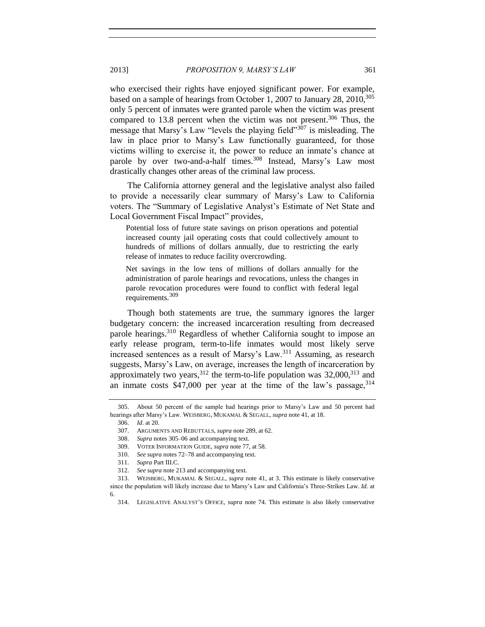<span id="page-40-1"></span>who exercised their rights have enjoyed significant power. For example, based on a sample of hearings from October 1, 2007 to January 28, 2010,  $305$ only 5 percent of inmates were granted parole when the victim was present compared to 13.8 percent when the victim was not present.<sup>306</sup> Thus, the message that Marsy's Law "levels the playing field"<sup>307</sup> is misleading. The law in place prior to Marsy's Law functionally guaranteed, for those victims willing to exercise it, the power to reduce an inmate's chance at parole by over two-and-a-half times.<sup>308</sup> Instead, Marsy's Law most drastically changes other areas of the criminal law process.

The California attorney general and the legislative analyst also failed to provide a necessarily clear summary of Marsy's Law to California voters. The "Summary of Legislative Analyst's Estimate of Net State and Local Government Fiscal Impact" provides,

Potential loss of future state savings on prison operations and potential increased county jail operating costs that could collectively amount to hundreds of millions of dollars annually, due to restricting the early release of inmates to reduce facility overcrowding.

Net savings in the low tens of millions of dollars annually for the administration of parole hearings and revocations, unless the changes in parole revocation procedures were found to conflict with federal legal requirements.<sup>309</sup>

Though both statements are true, the summary ignores the larger budgetary concern: the increased incarceration resulting from decreased parole hearings.<sup>310</sup> Regardless of whether California sought to impose an early release program, term-to-life inmates would most likely serve increased sentences as a result of Marsy's Law.<sup>311</sup> Assuming, as research suggests, Marsy's Law, on average, increases the length of incarceration by approximately two years,  $312$  the term-to-life population was  $32,000$ ,  $313$  and an inmate costs  $$47,000$  per year at the time of the law's passage,  $314$ 

<span id="page-40-0"></span>

<sup>305.</sup> About 50 percent of the sample had hearings prior to Marsy's Law and 50 percent had hearings after Marsy's Law. WEISBERG, MUKAMAL & SEGALL, *supra* not[e 41,](#page-5-0) at 18.

<sup>306.</sup> *Id*. at 20.

<sup>307.</sup> ARGUMENTS AND REBUTTALS, *supra* not[e 289,](#page-38-0) at 62.

<sup>308.</sup> *Supra* notes [305](#page-40-0)[–06](#page-40-1) and accompanying text.

<sup>309.</sup> VOTER INFORMATION GUIDE, *supra* not[e 77,](#page-9-0) at 58.

<sup>310.</sup> *See supra* note[s 72](#page-8-2)[–78](#page-9-2) and accompanying text.

<sup>311.</sup> *Supra* Part III.C.

<sup>312.</sup> *See supra* not[e 213](#page-28-1) and accompanying text.

<sup>313.</sup> WEISBERG, MUKAMAL & SEGALL, *supra* note [41,](#page-5-0) at 3. This estimate is likely conservative since the population will likely increase due to Marsy's Law and California's Three-Strikes Law. *Id.* at 6.

<sup>314.</sup> LEGISLATIVE ANALYST'S OFFICE, *supra* note [74.](#page-9-3) This estimate is also likely conservative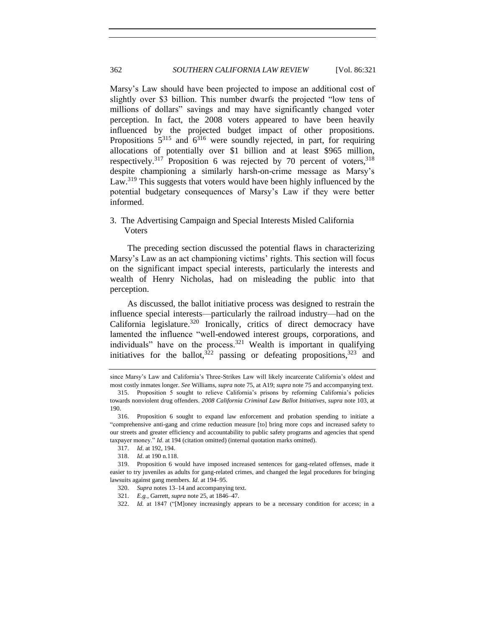Marsy's Law should have been projected to impose an additional cost of slightly over \$3 billion. This number dwarfs the projected "low tens of millions of dollars" savings and may have significantly changed voter perception. In fact, the 2008 voters appeared to have been heavily influenced by the projected budget impact of other propositions. Propositions  $5^{315}$  and  $6^{316}$  were soundly rejected, in part, for requiring allocations of potentially over \$1 billion and at least \$965 million, respectively.<sup>317</sup> Proposition 6 was rejected by 70 percent of voters,  $318$ despite championing a similarly harsh-on-crime message as Marsy's Law.<sup>319</sup> This suggests that voters would have been highly influenced by the potential budgetary consequences of Marsy's Law if they were better informed.

# 3. The Advertising Campaign and Special Interests Misled California Voters

The preceding section discussed the potential flaws in characterizing Marsy's Law as an act championing victims' rights. This section will focus on the significant impact special interests, particularly the interests and wealth of Henry Nicholas, had on misleading the public into that perception.

As discussed, the ballot initiative process was designed to restrain the influence special interests—particularly the railroad industry—had on the California legislature.<sup>320</sup> Ironically, critics of direct democracy have lamented the influence "well-endowed interest groups, corporations, and individuals" have on the process.<sup>321</sup> Wealth is important in qualifying initiatives for the ballot,  $322$  passing or defeating propositions,  $323$  and

since Marsy's Law and California's Three-Strikes Law will likely incarcerate California's oldest and most costly inmates longer. *See* Williams, *supra* not[e 75,](#page-9-4) at A19; *supra* not[e 75](#page-9-4) and accompanying text.

<sup>315.</sup> Proposition 5 sought to relieve California's prisons by reforming California's policies towards nonviolent drug offenders. *2008 California Criminal Law Ballot Initiatives*, *supra* note [103,](#page-12-1) at 190.

<sup>316.</sup> Proposition 6 sought to expand law enforcement and probation spending to initiate a "comprehensive anti-gang and crime reduction measure [to] bring more cops and increased safety to our streets and greater efficiency and accountability to public safety programs and agencies that spend taxpayer money." *Id*. at 194 (citation omitted) (internal quotation marks omitted).

<sup>317.</sup> *Id*. at 192, 194.

<sup>318.</sup> *Id*. at 190 n.118.

<sup>319.</sup> Proposition 6 would have imposed increased sentences for gang-related offenses, made it easier to try juveniles as adults for gang-related crimes, and changed the legal procedures for bringing lawsuits against gang members. *Id.* at 194–95.

<sup>320.</sup> *Supra* notes [13–](#page-1-2)[14](#page-1-1) and accompanying text.

<sup>321.</sup> *E.g.*, Garrett, *supra* not[e 25,](#page-3-2) at 1846–47.

<sup>322.</sup> *Id.* at 1847 ("[M]oney increasingly appears to be a necessary condition for access; in a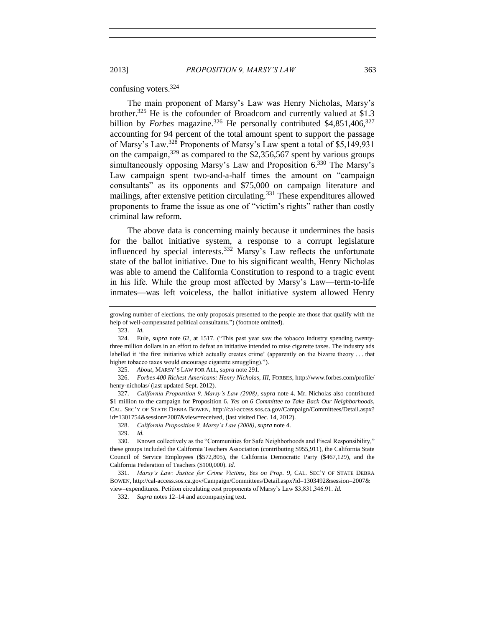#### confusing voters.<sup>324</sup>

The main proponent of Marsy's Law was Henry Nicholas, Marsy's brother.<sup>325</sup> He is the cofounder of Broadcom and currently valued at \$1.3 billion by *Forbes* magazine.<sup>326</sup> He personally contributed \$4,851,406,<sup>327</sup> accounting for 94 percent of the total amount spent to support the passage of Marsy's Law.<sup>328</sup> Proponents of Marsy's Law spent a total of \$5,149,931 on the campaign,  $329$  as compared to the \$2,356,567 spent by various groups simultaneously opposing Marsy's Law and Proposition 6.<sup>330</sup> The Marsy's Law campaign spent two-and-a-half times the amount on "campaign consultants" as its opponents and \$75,000 on campaign literature and mailings, after extensive petition circulating.<sup>331</sup> These expenditures allowed proponents to frame the issue as one of "victim's rights" rather than costly criminal law reform.

The above data is concerning mainly because it undermines the basis for the ballot initiative system, a response to a corrupt legislature influenced by special interests.<sup>332</sup> Marsy's Law reflects the unfortunate state of the ballot initiative. Due to his significant wealth, Henry Nicholas was able to amend the California Constitution to respond to a tragic event in his life. While the group most affected by Marsy's Law—term-to-life inmates—was left voiceless, the ballot initiative system allowed Henry

growing number of elections, the only proposals presented to the people are those that qualify with the help of well-compensated political consultants.") (footnote omitted).

<sup>323.</sup> *Id.*

<sup>324.</sup> Eule, *supra* note [62,](#page-7-0) at 1517. ("This past year saw the tobacco industry spending twentythree million dollars in an effort to defeat an initiative intended to raise cigarette taxes. The industry ads labelled it 'the first initiative which actually creates crime' (apparently on the bizarre theory . . . that higher tobacco taxes would encourage cigarette smuggling).").

<sup>325.</sup> *About*, MARSY'S LAW FOR ALL, *supra* note [291.](#page-38-1)

<sup>326.</sup> *Forbes 400 Richest Americans: Henry Nicholas, III*, FORBES, http://www.forbes.com/profile/ henry-nicholas/ (last updated Sept. 2012).

<sup>327.</sup> *California Proposition 9, Marsy's Law (2008)*, *supra* note [4.](#page-0-3) Mr. Nicholas also contributed \$1 million to the campaign for Proposition 6. *Yes on 6 Committee to Take Back Our Neighborhoods*, CAL. SEC'Y OF STATE DEBRA BOWEN, http://cal-access.sos.ca.gov/Campaign/Committees/Detail.aspx? id=1301754&session=2007&view=received, (last visited Dec. 14, 2012).

<sup>328.</sup> *California Proposition 9, Marsy's Law (2008)*, *supra* not[e 4.](#page-0-3)

<sup>329.</sup> *Id.*

<sup>330.</sup> Known collectively as the "Communities for Safe Neighborhoods and Fiscal Responsibility," these groups included the California Teachers Association (contributing \$955,911), the California State Council of Service Employees (\$572,805), the California Democratic Party (\$467,129), and the California Federation of Teachers (\$100,000). *Id.* 

<sup>331.</sup> *Marsy's Law: Justice for Crime Victims, Yes on Prop. 9*, CAL. SEC'Y OF STATE DEBRA BOWEN, http://cal-access.sos.ca.gov/Campaign/Committees/Detail.aspx?id=1303492&session=2007& view=expenditures. Petition circulating cost proponents of Marsy's Law \$3,831,346.91. *Id.*

<sup>332.</sup> *Supra* notes [12–](#page-1-3)[14](#page-1-1) and accompanying text.